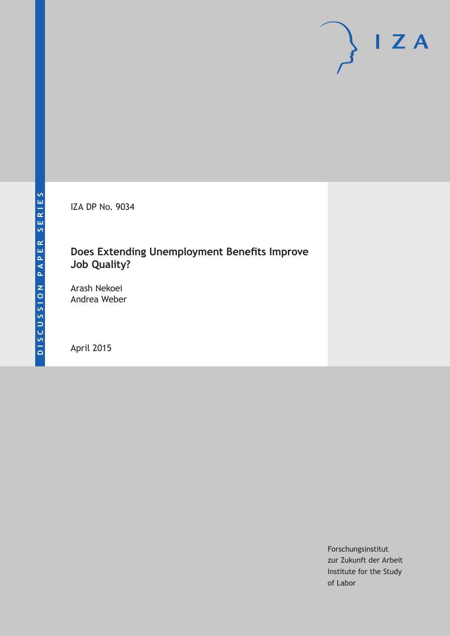IZA DP No. 9034

## **Does Extending Unemployment Benefits Improve Job Quality?**

Arash Nekoei Andrea Weber

April 2015

Forschungsinstitut zur Zukunft der Arbeit Institute for the Study of Labor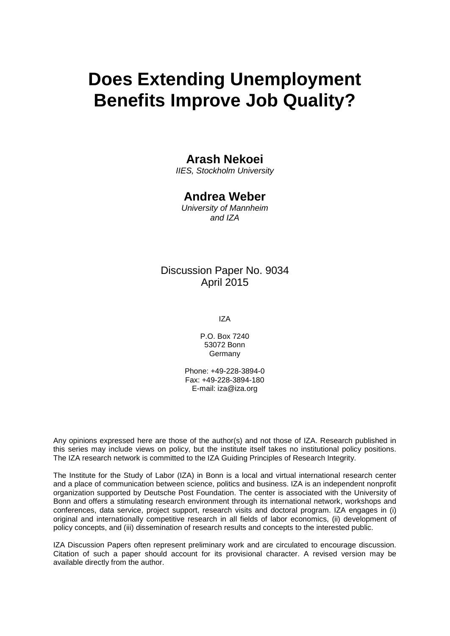# **Does Extending Unemployment Benefits Improve Job Quality?**

### **Arash Nekoei**

*IIES, Stockholm University*

### **Andrea Weber**

*University of Mannheim and IZA*

### Discussion Paper No. 9034 April 2015

IZA

P.O. Box 7240 53072 Bonn Germany

Phone: +49-228-3894-0 Fax: +49-228-3894-180 E-mail: iza@iza.org

Any opinions expressed here are those of the author(s) and not those of IZA. Research published in this series may include views on policy, but the institute itself takes no institutional policy positions. The IZA research network is committed to the IZA Guiding Principles of Research Integrity.

The Institute for the Study of Labor (IZA) in Bonn is a local and virtual international research center and a place of communication between science, politics and business. IZA is an independent nonprofit organization supported by Deutsche Post Foundation. The center is associated with the University of Bonn and offers a stimulating research environment through its international network, workshops and conferences, data service, project support, research visits and doctoral program. IZA engages in (i) original and internationally competitive research in all fields of labor economics, (ii) development of policy concepts, and (iii) dissemination of research results and concepts to the interested public.

<span id="page-1-0"></span>IZA Discussion Papers often represent preliminary work and are circulated to encourage discussion. Citation of such a paper should account for its provisional character. A revised version may be available directly from the author.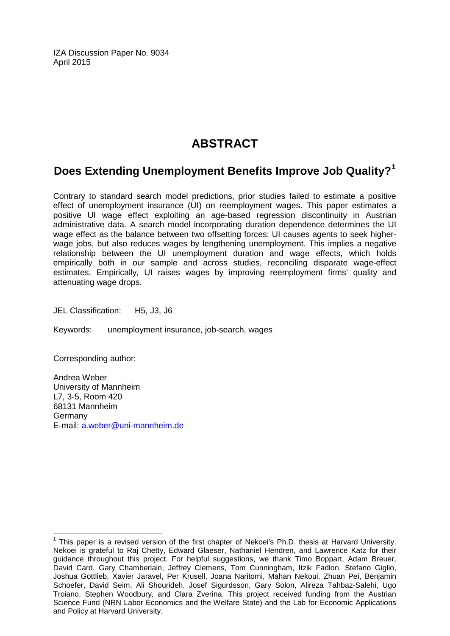IZA Discussion Paper No. 9034 April 2015

# **ABSTRACT**

# **Does Extending Unemployment Benefits Improve Job Quality?[1](#page-1-0)**

Contrary to standard search model predictions, prior studies failed to estimate a positive effect of unemployment insurance (UI) on reemployment wages. This paper estimates a positive UI wage effect exploiting an age-based regression discontinuity in Austrian administrative data. A search model incorporating duration dependence determines the UI wage effect as the balance between two offsetting forces: UI causes agents to seek higherwage jobs, but also reduces wages by lengthening unemployment. This implies a negative relationship between the UI unemployment duration and wage effects, which holds empirically both in our sample and across studies, reconciling disparate wage-effect estimates. Empirically, UI raises wages by improving reemployment firms' quality and attenuating wage drops.

JEL Classification: H5, J3, J6

Keywords: unemployment insurance, job-search, wages

Corresponding author:

Andrea Weber University of Mannheim L7, 3-5, Room 420 68131 Mannheim Germany E-mail: [a.weber@uni-mannheim.de](mailto:a.weber@uni-mannheim.de)

 $<sup>1</sup>$  This paper is a revised version of the first chapter of Nekoei's Ph.D. thesis at Harvard University.</sup> Nekoei is grateful to Raj Chetty, Edward Glaeser, Nathaniel Hendren, and Lawrence Katz for their guidance throughout this project. For helpful suggestions, we thank Timo Boppart, Adam Breuer, David Card, Gary Chamberlain, Jeffrey Clemens, Tom Cunningham, Itzik Fadlon, Stefano Giglio, Joshua Gottlieb, Xavier Jaravel, Per Krusell, Joana Naritomi, Mahan Nekoui, Zhuan Pei, Benjamin Schoefer, David Seim, Ali Shourideh, Josef Sigurdsson, Gary Solon, Alireza Tahbaz-Salehi, Ugo Troiano, Stephen Woodbury, and Clara Zverina. This project received funding from the Austrian Science Fund (NRN Labor Economics and the Welfare State) and the Lab for Economic Applications and Policy at Harvard University.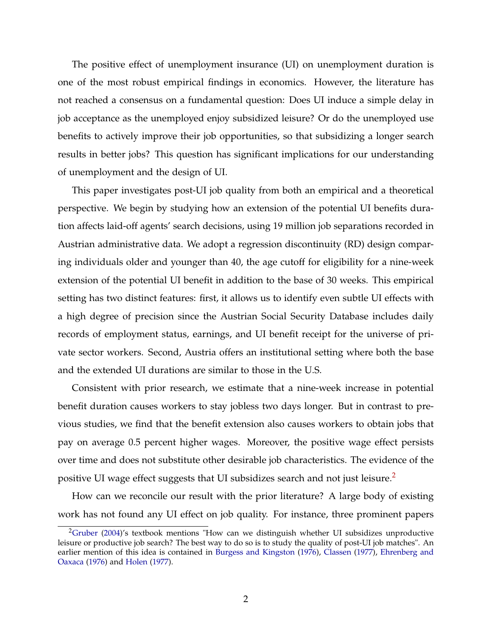<span id="page-3-1"></span>The positive effect of unemployment insurance (UI) on unemployment duration is one of the most robust empirical findings in economics. However, the literature has not reached a consensus on a fundamental question: Does UI induce a simple delay in job acceptance as the unemployed enjoy subsidized leisure? Or do the unemployed use benefits to actively improve their job opportunities, so that subsidizing a longer search results in better jobs? This question has significant implications for our understanding of unemployment and the design of UI.

This paper investigates post-UI job quality from both an empirical and a theoretical perspective. We begin by studying how an extension of the potential UI benefits duration affects laid-off agents' search decisions, using 19 million job separations recorded in Austrian administrative data. We adopt a regression discontinuity (RD) design comparing individuals older and younger than 40, the age cutoff for eligibility for a nine-week extension of the potential UI benefit in addition to the base of 30 weeks. This empirical setting has two distinct features: first, it allows us to identify even subtle UI effects with a high degree of precision since the Austrian Social Security Database includes daily records of employment status, earnings, and UI benefit receipt for the universe of private sector workers. Second, Austria offers an institutional setting where both the base and the extended UI durations are similar to those in the U.S.

Consistent with prior research, we estimate that a nine-week increase in potential benefit duration causes workers to stay jobless two days longer. But in contrast to previous studies, we find that the benefit extension also causes workers to obtain jobs that pay on average 0.5 percent higher wages. Moreover, the positive wage effect persists over time and does not substitute other desirable job characteristics. The evidence of the positive UI wage effect suggests that UI subsidizes search and not just leisure.[2](#page-3-0)

How can we reconcile our result with the prior literature? A large body of existing work has not found any UI effect on job quality. For instance, three prominent papers

<span id="page-3-0"></span><sup>&</sup>lt;sup>2</sup>[Gruber](#page-29-0) [\(2004\)](#page-29-0)'s textbook mentions "How can we distinguish whether UI subsidizes unproductive leisure or productive job search? The best way to do so is to study the quality of post-UI job matches". An earlier mention of this idea is contained in [Burgess and Kingston](#page-28-0) [\(1976\)](#page-28-0), [Classen](#page-29-1) [\(1977\)](#page-29-1), [Ehrenberg and](#page-29-2) [Oaxaca](#page-29-2) [\(1976\)](#page-29-2) and [Holen](#page-30-0) [\(1977\)](#page-30-0).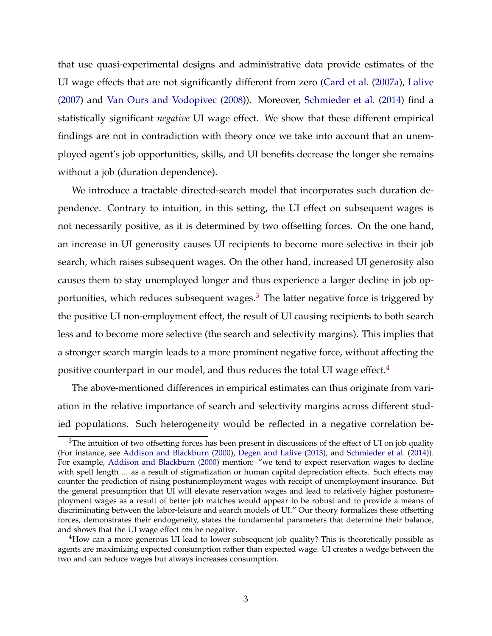<span id="page-4-2"></span>that use quasi-experimental designs and administrative data provide estimates of the UI wage effects that are not significantly different from zero [\(Card et al.](#page-29-3) [\(2007a\)](#page-29-3), [Lalive](#page-30-1) [\(2007\)](#page-30-1) and [Van Ours and Vodopivec](#page-32-0) [\(2008\)](#page-32-0)). Moreover, [Schmieder et al.](#page-31-0) [\(2014\)](#page-31-0) find a statistically significant *negative* UI wage effect. We show that these different empirical findings are not in contradiction with theory once we take into account that an unemployed agent's job opportunities, skills, and UI benefits decrease the longer she remains without a job (duration dependence).

We introduce a tractable directed-search model that incorporates such duration dependence. Contrary to intuition, in this setting, the UI effect on subsequent wages is not necessarily positive, as it is determined by two offsetting forces. On the one hand, an increase in UI generosity causes UI recipients to become more selective in their job search, which raises subsequent wages. On the other hand, increased UI generosity also causes them to stay unemployed longer and thus experience a larger decline in job opportunities, which reduces subsequent wages. $3$  The latter negative force is triggered by the positive UI non-employment effect, the result of UI causing recipients to both search less and to become more selective (the search and selectivity margins). This implies that a stronger search margin leads to a more prominent negative force, without affecting the positive counterpart in our model, and thus reduces the total UI wage effect.<sup>[4](#page-4-1)</sup>

The above-mentioned differences in empirical estimates can thus originate from variation in the relative importance of search and selectivity margins across different studied populations. Such heterogeneity would be reflected in a negative correlation be-

<span id="page-4-0"></span><sup>&</sup>lt;sup>3</sup>The intuition of two offsetting forces has been present in discussions of the effect of UI on job quality (For instance, see [Addison and Blackburn](#page-28-1) [\(2000\)](#page-28-1), [Degen and Lalive](#page-29-4) [\(2013\)](#page-29-4), and [Schmieder et al.](#page-31-0) [\(2014\)](#page-31-0)). For example, [Addison and Blackburn](#page-28-1) [\(2000\)](#page-28-1) mention: "we tend to expect reservation wages to decline with spell length ... as a result of stigmatization or human capital depreciation effects. Such effects may counter the prediction of rising postunemployment wages with receipt of unemployment insurance. But the general presumption that UI will elevate reservation wages and lead to relatively higher postunemployment wages as a result of better job matches would appear to be robust and to provide a means of discriminating between the labor-leisure and search models of UI." Our theory formalizes these offsetting forces, demonstrates their endogeneity, states the fundamental parameters that determine their balance, and shows that the UI wage effect *can* be negative.

<span id="page-4-1"></span> $4$ How can a more generous UI lead to lower subsequent job quality? This is theoretically possible as agents are maximizing expected consumption rather than expected wage. UI creates a wedge between the two and can reduce wages but always increases consumption.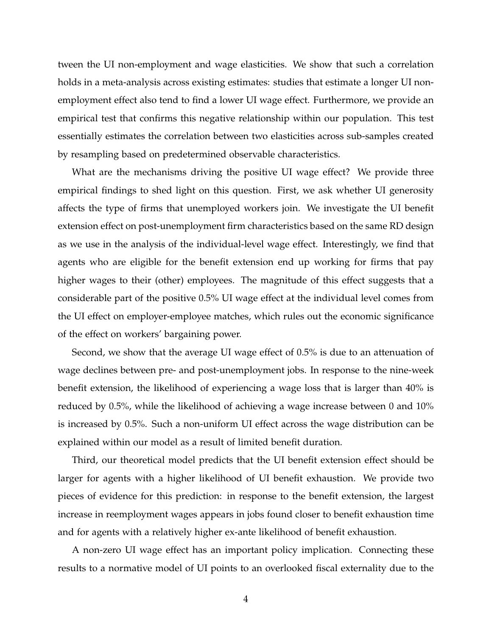tween the UI non-employment and wage elasticities. We show that such a correlation holds in a meta-analysis across existing estimates: studies that estimate a longer UI nonemployment effect also tend to find a lower UI wage effect. Furthermore, we provide an empirical test that confirms this negative relationship within our population. This test essentially estimates the correlation between two elasticities across sub-samples created by resampling based on predetermined observable characteristics.

What are the mechanisms driving the positive UI wage effect? We provide three empirical findings to shed light on this question. First, we ask whether UI generosity affects the type of firms that unemployed workers join. We investigate the UI benefit extension effect on post-unemployment firm characteristics based on the same RD design as we use in the analysis of the individual-level wage effect. Interestingly, we find that agents who are eligible for the benefit extension end up working for firms that pay higher wages to their (other) employees. The magnitude of this effect suggests that a considerable part of the positive 0.5% UI wage effect at the individual level comes from the UI effect on employer-employee matches, which rules out the economic significance of the effect on workers' bargaining power.

Second, we show that the average UI wage effect of 0.5% is due to an attenuation of wage declines between pre- and post-unemployment jobs. In response to the nine-week benefit extension, the likelihood of experiencing a wage loss that is larger than 40% is reduced by 0.5%, while the likelihood of achieving a wage increase between 0 and 10% is increased by 0.5%. Such a non-uniform UI effect across the wage distribution can be explained within our model as a result of limited benefit duration.

Third, our theoretical model predicts that the UI benefit extension effect should be larger for agents with a higher likelihood of UI benefit exhaustion. We provide two pieces of evidence for this prediction: in response to the benefit extension, the largest increase in reemployment wages appears in jobs found closer to benefit exhaustion time and for agents with a relatively higher ex-ante likelihood of benefit exhaustion.

A non-zero UI wage effect has an important policy implication. Connecting these results to a normative model of UI points to an overlooked fiscal externality due to the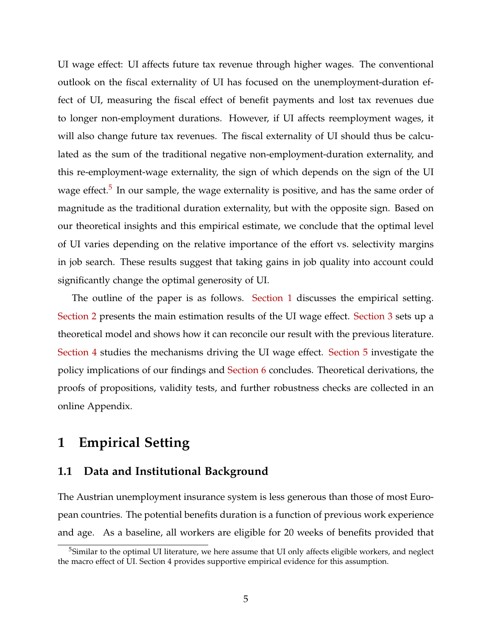UI wage effect: UI affects future tax revenue through higher wages. The conventional outlook on the fiscal externality of UI has focused on the unemployment-duration effect of UI, measuring the fiscal effect of benefit payments and lost tax revenues due to longer non-employment durations. However, if UI affects reemployment wages, it will also change future tax revenues. The fiscal externality of UI should thus be calculated as the sum of the traditional negative non-employment-duration externality, and this re-employment-wage externality, the sign of which depends on the sign of the UI wage effect.<sup>[5](#page-6-0)</sup> In our sample, the wage externality is positive, and has the same order of magnitude as the traditional duration externality, but with the opposite sign. Based on our theoretical insights and this empirical estimate, we conclude that the optimal level of UI varies depending on the relative importance of the effort vs. selectivity margins in job search. These results suggest that taking gains in job quality into account could significantly change the optimal generosity of UI.

The outline of the paper is as follows. [Section 1](#page-6-1) discusses the empirical setting. [Section 2](#page-10-0) presents the main estimation results of the UI wage effect. [Section 3](#page-12-0) sets up a theoretical model and shows how it can reconcile our result with the previous literature. [Section 4](#page-21-0) studies the mechanisms driving the UI wage effect. [Section 5](#page-24-0) investigate the policy implications of our findings and [Section 6](#page-27-0) concludes. Theoretical derivations, the proofs of propositions, validity tests, and further robustness checks are collected in an online Appendix.

### <span id="page-6-1"></span>**1 Empirical Setting**

#### **1.1 Data and Institutional Background**

The Austrian unemployment insurance system is less generous than those of most European countries. The potential benefits duration is a function of previous work experience and age. As a baseline, all workers are eligible for 20 weeks of benefits provided that

<span id="page-6-0"></span><sup>&</sup>lt;sup>5</sup>Similar to the optimal UI literature, we here assume that UI only affects eligible workers, and neglect the macro effect of  $\overline{U}$ I. Section 4 provides supportive empirical evidence for this assumption.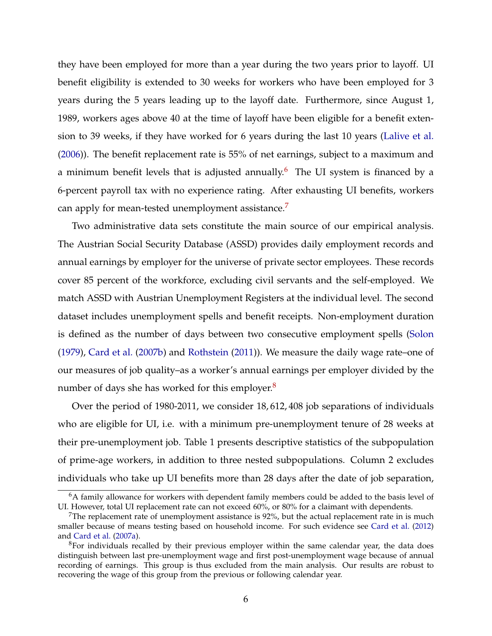<span id="page-7-3"></span>they have been employed for more than a year during the two years prior to layoff. UI benefit eligibility is extended to 30 weeks for workers who have been employed for 3 years during the 5 years leading up to the layoff date. Furthermore, since August 1, 1989, workers ages above 40 at the time of layoff have been eligible for a benefit extension to 39 weeks, if they have worked for 6 years during the last 10 years [\(Lalive et al.](#page-30-2) [\(2006\)](#page-30-2)). The benefit replacement rate is 55% of net earnings, subject to a maximum and a minimum benefit levels that is adjusted annually.<sup>[6](#page-7-0)</sup> The UI system is financed by a 6-percent payroll tax with no experience rating. After exhausting UI benefits, workers can apply for mean-tested unemployment assistance.<sup>[7](#page-7-1)</sup>

Two administrative data sets constitute the main source of our empirical analysis. The Austrian Social Security Database (ASSD) provides daily employment records and annual earnings by employer for the universe of private sector employees. These records cover 85 percent of the workforce, excluding civil servants and the self-employed. We match ASSD with Austrian Unemployment Registers at the individual level. The second dataset includes unemployment spells and benefit receipts. Non-employment duration is defined as the number of days between two consecutive employment spells [\(Solon](#page-31-1) [\(1979\)](#page-31-1), [Card et al.](#page-29-5) [\(2007b\)](#page-29-5) and [Rothstein](#page-31-2) [\(2011\)](#page-31-2)). We measure the daily wage rate–one of our measures of job quality–as a worker's annual earnings per employer divided by the number of days she has worked for this employer.<sup>[8](#page-7-2)</sup>

Over the period of 1980-2011, we consider 18, 612, 408 job separations of individuals who are eligible for UI, i.e. with a minimum pre-unemployment tenure of 28 weeks at their pre-unemployment job. Table 1 presents descriptive statistics of the subpopulation of prime-age workers, in addition to three nested subpopulations. Column 2 excludes individuals who take up UI benefits more than 28 days after the date of job separation,

<span id="page-7-0"></span> $6A$  family allowance for workers with dependent family members could be added to the basis level of UI. However, total UI replacement rate can not exceed 60%, or 80% for a claimant with dependents.

<span id="page-7-1"></span> $7$ The replacement rate of unemployment assistance is 92%, but the actual replacement rate in is much smaller because of means testing based on household income. For such evidence see [Card et al.](#page-29-6) [\(2012\)](#page-29-6) and [Card et al.](#page-29-3) [\(2007a\)](#page-29-3).

<span id="page-7-2"></span><sup>&</sup>lt;sup>8</sup>For individuals recalled by their previous employer within the same calendar year, the data does distinguish between last pre-unemployment wage and first post-unemployment wage because of annual recording of earnings. This group is thus excluded from the main analysis. Our results are robust to recovering the wage of this group from the previous or following calendar year.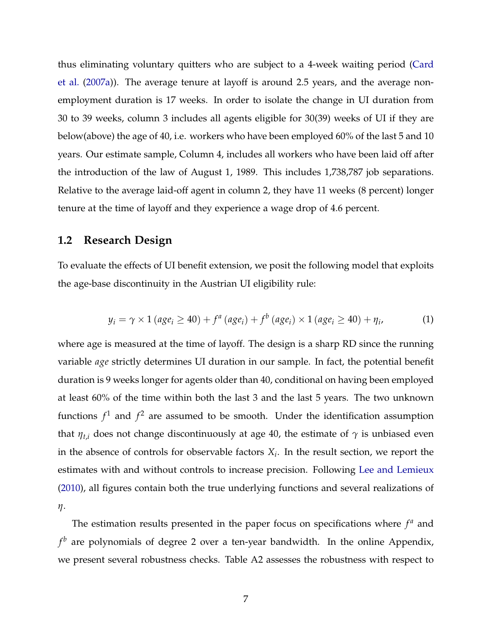<span id="page-8-0"></span>thus eliminating voluntary quitters who are subject to a 4-week waiting period [\(Card](#page-29-3) [et al.](#page-29-3) [\(2007a\)](#page-29-3)). The average tenure at layoff is around 2.5 years, and the average nonemployment duration is 17 weeks. In order to isolate the change in UI duration from 30 to 39 weeks, column 3 includes all agents eligible for 30(39) weeks of UI if they are below(above) the age of 40, i.e. workers who have been employed 60% of the last 5 and 10 years. Our estimate sample, Column 4, includes all workers who have been laid off after the introduction of the law of August 1, 1989. This includes 1,738,787 job separations. Relative to the average laid-off agent in column 2, they have 11 weeks (8 percent) longer tenure at the time of layoff and they experience a wage drop of 4.6 percent.

#### **1.2 Research Design**

To evaluate the effects of UI benefit extension, we posit the following model that exploits the age-base discontinuity in the Austrian UI eligibility rule:

$$
y_i = \gamma \times 1 \left( age_i \ge 40 \right) + f^a \left( age_i \right) + f^b \left( age_i \right) \times 1 \left( age_i \ge 40 \right) + \eta_i, \tag{1}
$$

where age is measured at the time of layoff. The design is a sharp RD since the running variable *age* strictly determines UI duration in our sample. In fact, the potential benefit duration is 9 weeks longer for agents older than 40, conditional on having been employed at least 60% of the time within both the last 3 and the last 5 years. The two unknown functions  $f^1$  and  $f^2$  are assumed to be smooth. Under the identification assumption that  $\eta_{t,i}$  does not change discontinuously at age 40, the estimate of  $\gamma$  is unbiased even in the absence of controls for observable factors  $X_i$ . In the result section, we report the estimates with and without controls to increase precision. Following [Lee and Lemieux](#page-30-3) [\(2010\)](#page-30-3), all figures contain both the true underlying functions and several realizations of *η*.

The estimation results presented in the paper focus on specifications where  $f<sup>a</sup>$  and *f <sup>b</sup>* are polynomials of degree 2 over a ten-year bandwidth. In the online Appendix, we present several robustness checks. Table A2 assesses the robustness with respect to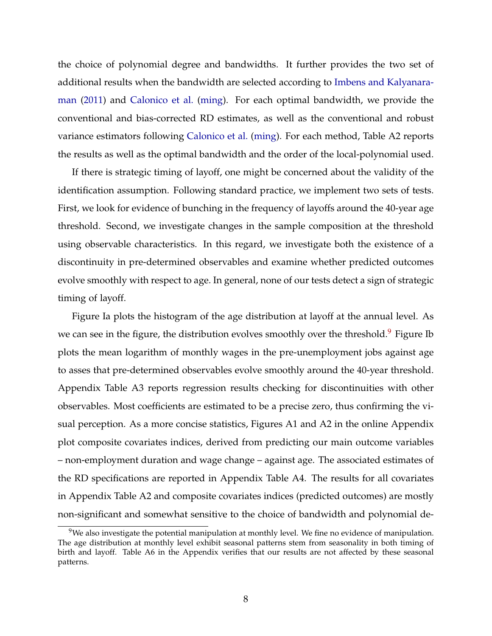<span id="page-9-1"></span>the choice of polynomial degree and bandwidths. It further provides the two set of additional results when the bandwidth are selected according to [Imbens and Kalyanara](#page-30-4)[man](#page-30-4) [\(2011\)](#page-30-4) and [Calonico et al.](#page-28-2) [\(ming\)](#page-28-2). For each optimal bandwidth, we provide the conventional and bias-corrected RD estimates, as well as the conventional and robust variance estimators following [Calonico et al.](#page-28-2) [\(ming\)](#page-28-2). For each method, Table A2 reports the results as well as the optimal bandwidth and the order of the local-polynomial used.

If there is strategic timing of layoff, one might be concerned about the validity of the identification assumption. Following standard practice, we implement two sets of tests. First, we look for evidence of bunching in the frequency of layoffs around the 40-year age threshold. Second, we investigate changes in the sample composition at the threshold using observable characteristics. In this regard, we investigate both the existence of a discontinuity in pre-determined observables and examine whether predicted outcomes evolve smoothly with respect to age. In general, none of our tests detect a sign of strategic timing of layoff.

Figure Ia plots the histogram of the age distribution at layoff at the annual level. As we can see in the figure, the distribution evolves smoothly over the threshold.<sup>[9](#page-9-0)</sup> Figure Ib plots the mean logarithm of monthly wages in the pre-unemployment jobs against age to asses that pre-determined observables evolve smoothly around the 40-year threshold. Appendix Table A3 reports regression results checking for discontinuities with other observables. Most coefficients are estimated to be a precise zero, thus confirming the visual perception. As a more concise statistics, Figures A1 and A2 in the online Appendix plot composite covariates indices, derived from predicting our main outcome variables – non-employment duration and wage change – against age. The associated estimates of the RD specifications are reported in Appendix Table A4. The results for all covariates in Appendix Table A2 and composite covariates indices (predicted outcomes) are mostly non-significant and somewhat sensitive to the choice of bandwidth and polynomial de-

<span id="page-9-0"></span><sup>&</sup>lt;sup>9</sup>We also investigate the potential manipulation at monthly level. We fine no evidence of manipulation. The age distribution at monthly level exhibit seasonal patterns stem from seasonality in both timing of birth and layoff. Table A6 in the Appendix verifies that our results are not affected by these seasonal patterns.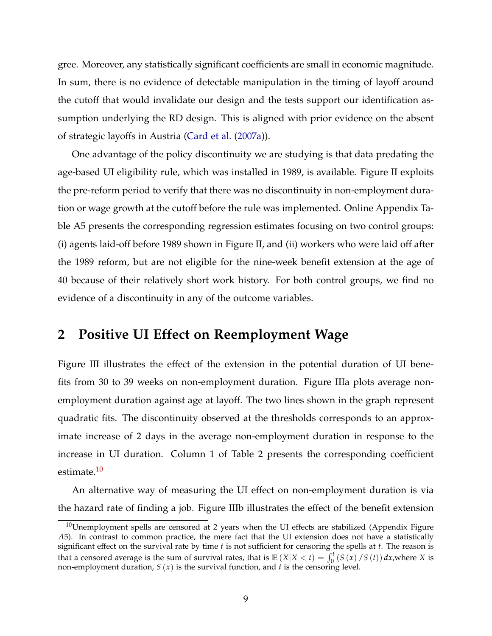<span id="page-10-2"></span>gree. Moreover, any statistically significant coefficients are small in economic magnitude. In sum, there is no evidence of detectable manipulation in the timing of layoff around the cutoff that would invalidate our design and the tests support our identification assumption underlying the RD design. This is aligned with prior evidence on the absent of strategic layoffs in Austria [\(Card et al.](#page-29-3) [\(2007a\)](#page-29-3)).

One advantage of the policy discontinuity we are studying is that data predating the age-based UI eligibility rule, which was installed in 1989, is available. Figure II exploits the pre-reform period to verify that there was no discontinuity in non-employment duration or wage growth at the cutoff before the rule was implemented. Online Appendix Table A5 presents the corresponding regression estimates focusing on two control groups: (i) agents laid-off before 1989 shown in Figure II, and (ii) workers who were laid off after the 1989 reform, but are not eligible for the nine-week benefit extension at the age of 40 because of their relatively short work history. For both control groups, we find no evidence of a discontinuity in any of the outcome variables.

### <span id="page-10-0"></span>**2 Positive UI Effect on Reemployment Wage**

Figure III illustrates the effect of the extension in the potential duration of UI benefits from 30 to 39 weeks on non-employment duration. Figure IIIa plots average nonemployment duration against age at layoff. The two lines shown in the graph represent quadratic fits. The discontinuity observed at the thresholds corresponds to an approximate increase of 2 days in the average non-employment duration in response to the increase in UI duration. Column 1 of Table 2 presents the corresponding coefficient estimate.<sup>[10](#page-10-1)</sup>

An alternative way of measuring the UI effect on non-employment duration is via the hazard rate of finding a job. Figure IIIb illustrates the effect of the benefit extension

<span id="page-10-1"></span> $10$ Unemployment spells are censored at 2 years when the UI effects are stabilized (Appendix Figure *A*5). In contrast to common practice, the mere fact that the UI extension does not have a statistically significant effect on the survival rate by time *t* is not sufficient for censoring the spells at *t*. The reason is that a censored average is the sum of survival rates, that is  $\mathbb{E}(X|X < t) = \int_0^t (S(x)/S(t)) dx$ , where *X* is non-employment duration, *S* (*x*) is the survival function, and *t* is the censoring level.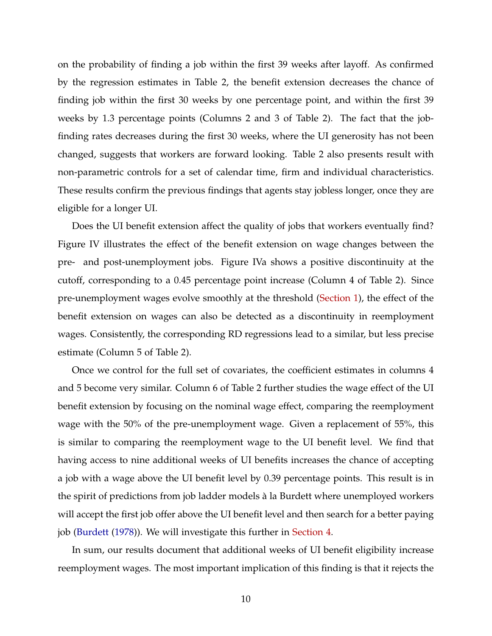<span id="page-11-0"></span>on the probability of finding a job within the first 39 weeks after layoff. As confirmed by the regression estimates in Table 2, the benefit extension decreases the chance of finding job within the first 30 weeks by one percentage point, and within the first 39 weeks by 1.3 percentage points (Columns 2 and 3 of Table 2). The fact that the jobfinding rates decreases during the first 30 weeks, where the UI generosity has not been changed, suggests that workers are forward looking. Table 2 also presents result with non-parametric controls for a set of calendar time, firm and individual characteristics. These results confirm the previous findings that agents stay jobless longer, once they are eligible for a longer UI.

Does the UI benefit extension affect the quality of jobs that workers eventually find? Figure IV illustrates the effect of the benefit extension on wage changes between the pre- and post-unemployment jobs. Figure IVa shows a positive discontinuity at the cutoff, corresponding to a 0.45 percentage point increase (Column 4 of Table 2). Since pre-unemployment wages evolve smoothly at the threshold [\(Section 1\)](#page-6-1), the effect of the benefit extension on wages can also be detected as a discontinuity in reemployment wages. Consistently, the corresponding RD regressions lead to a similar, but less precise estimate (Column 5 of Table 2).

Once we control for the full set of covariates, the coefficient estimates in columns 4 and 5 become very similar. Column 6 of Table 2 further studies the wage effect of the UI benefit extension by focusing on the nominal wage effect, comparing the reemployment wage with the 50% of the pre-unemployment wage. Given a replacement of 55%, this is similar to comparing the reemployment wage to the UI benefit level. We find that having access to nine additional weeks of UI benefits increases the chance of accepting a job with a wage above the UI benefit level by 0.39 percentage points. This result is in the spirit of predictions from job ladder models à la Burdett where unemployed workers will accept the first job offer above the UI benefit level and then search for a better paying job [\(Burdett](#page-28-3) [\(1978\)](#page-28-3)). We will investigate this further in [Section 4.](#page-21-0)

In sum, our results document that additional weeks of UI benefit eligibility increase reemployment wages. The most important implication of this finding is that it rejects the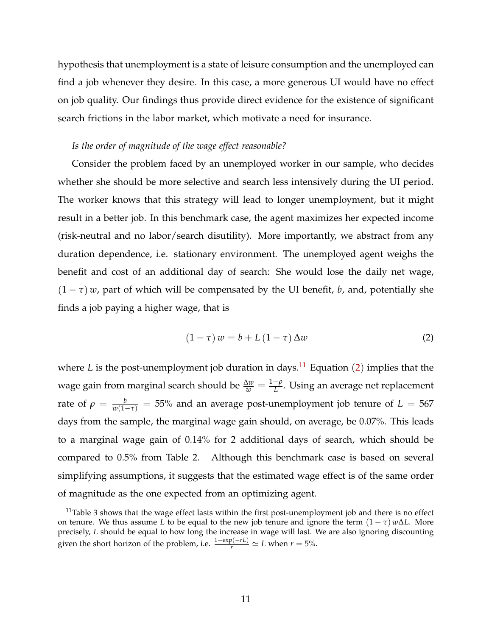hypothesis that unemployment is a state of leisure consumption and the unemployed can find a job whenever they desire. In this case, a more generous UI would have no effect on job quality. Our findings thus provide direct evidence for the existence of significant search frictions in the labor market, which motivate a need for insurance.

#### *Is the order of magnitude of the wage effect reasonable?*

Consider the problem faced by an unemployed worker in our sample, who decides whether she should be more selective and search less intensively during the UI period. The worker knows that this strategy will lead to longer unemployment, but it might result in a better job. In this benchmark case, the agent maximizes her expected income (risk-neutral and no labor/search disutility). More importantly, we abstract from any duration dependence, i.e. stationary environment. The unemployed agent weighs the benefit and cost of an additional day of search: She would lose the daily net wage,  $(1 - \tau)$  *w*, part of which will be compensated by the UI benefit, *b*, and, potentially she finds a job paying a higher wage, that is

<span id="page-12-2"></span>
$$
(1 - \tau) w = b + L (1 - \tau) \Delta w \tag{2}
$$

where *L* is the post-unemployment job duration in days.<sup>[11](#page-12-1)</sup> Equation ([2](#page-12-2)) implies that the wage gain from marginal search should be  $\frac{\Delta w}{w} = \frac{1-\rho}{L}$ *L* . Using an average net replacement rate of  $\rho = \frac{b}{w(1-\tau)} = 55\%$  and an average post-unemployment job tenure of  $L = 567$ days from the sample, the marginal wage gain should, on average, be 0.07%. This leads to a marginal wage gain of 0.14% for 2 additional days of search, which should be compared to 0.5% from Table 2. Although this benchmark case is based on several simplifying assumptions, it suggests that the estimated wage effect is of the same order of magnitude as the one expected from an optimizing agent.

<span id="page-12-1"></span><span id="page-12-0"></span> $11$ Table 3 shows that the wage effect lasts within the first post-unemployment job and there is no effect on tenure. We thus assume *L* to be equal to the new job tenure and ignore the term  $(1 - \tau) w \Delta L$ . More precisely, *L* should be equal to how long the increase in wage will last. We are also ignoring discounting given the short horizon of the problem, i.e.  $\frac{1-\exp(-rL)}{r} \simeq L$  when  $r = 5$ %.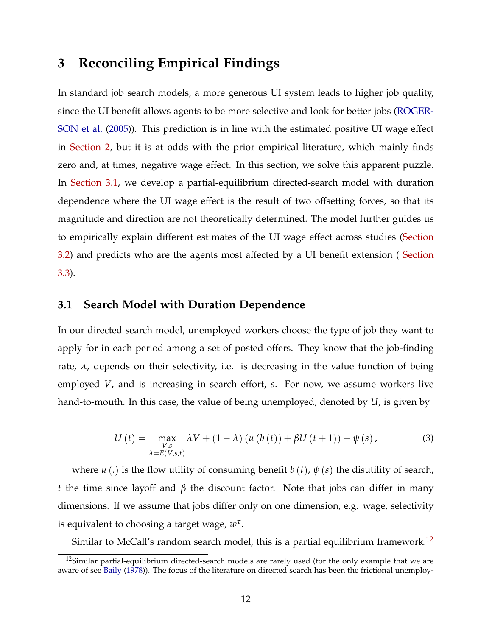### <span id="page-13-3"></span>**3 Reconciling Empirical Findings**

In standard job search models, a more generous UI system leads to higher job quality, since the UI benefit allows agents to be more selective and look for better jobs [\(ROGER-](#page-31-3)[SON et al.](#page-31-3) [\(2005\)](#page-31-3)). This prediction is in line with the estimated positive UI wage effect in [Section 2,](#page-10-0) but it is at odds with the prior empirical literature, which mainly finds zero and, at times, negative wage effect. In this section, we solve this apparent puzzle. In [Section 3.1,](#page-13-0) we develop a partial-equilibrium directed-search model with duration dependence where the UI wage effect is the result of two offsetting forces, so that its magnitude and direction are not theoretically determined. The model further guides us to empirically explain different estimates of the UI wage effect across studies [\(Section](#page-18-0) [3.2\)](#page-18-0) and predicts who are the agents most affected by a UI benefit extension ( [Section](#page-19-0) [3.3\)](#page-19-0).

#### <span id="page-13-0"></span>**3.1 Search Model with Duration Dependence**

In our directed search model, unemployed workers choose the type of job they want to apply for in each period among a set of posted offers. They know that the job-finding rate,  $\lambda$ , depends on their selectivity, i.e. is decreasing in the value function of being employed *V*, and is increasing in search effort, *s*. For now, we assume workers live hand-to-mouth. In this case, the value of being unemployed, denoted by *U*, is given by

<span id="page-13-2"></span>
$$
U(t) = \max_{\substack{V,s\\ \lambda=E(V,s,t)}} \lambda V + (1-\lambda) \left( u \left( b \left( t \right) \right) + \beta U \left( t + 1 \right) \right) - \psi \left( s \right),\tag{3}
$$

where *u* (.) is the flow utility of consuming benefit *b* (*t*), *ψ* (*s*) the disutility of search, *t* the time since layoff and *β* the discount factor. Note that jobs can differ in many dimensions. If we assume that jobs differ only on one dimension, e.g. wage, selectivity is equivalent to choosing a target wage, *w τ* .

Similar to McCall's random search model, this is a partial equilibrium framework.<sup>[12](#page-13-1)</sup>

<span id="page-13-1"></span> $12$ Similar partial-equilibrium directed-search models are rarely used (for the only example that we are aware of see [Baily](#page-28-4) [\(1978\)](#page-28-4)). The focus of the literature on directed search has been the frictional unemploy-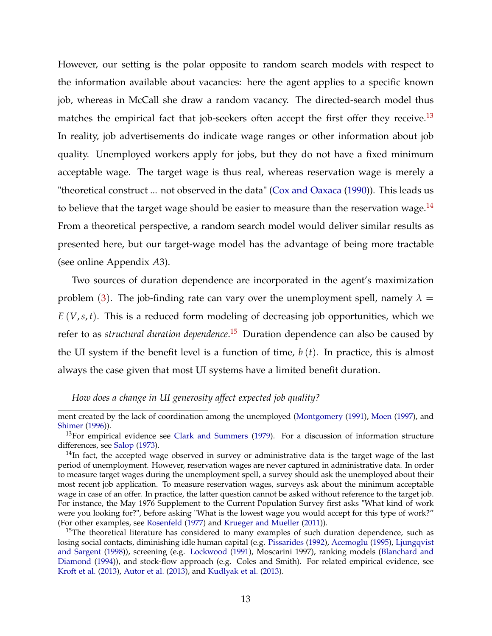<span id="page-14-3"></span>However, our setting is the polar opposite to random search models with respect to the information available about vacancies: here the agent applies to a specific known job, whereas in McCall she draw a random vacancy. The directed-search model thus matches the empirical fact that job-seekers often accept the first offer they receive.<sup>[13](#page-14-0)</sup> In reality, job advertisements do indicate wage ranges or other information about job quality. Unemployed workers apply for jobs, but they do not have a fixed minimum acceptable wage. The target wage is thus real, whereas reservation wage is merely a "theoretical construct ... not observed in the data" [\(Cox and Oaxaca](#page-29-7) [\(1990\)](#page-29-7)). This leads us to believe that the target wage should be easier to measure than the reservation wage.<sup>[14](#page-14-1)</sup> From a theoretical perspective, a random search model would deliver similar results as presented here, but our target-wage model has the advantage of being more tractable (see online Appendix *A*3).

Two sources of duration dependence are incorporated in the agent's maximization problem ([3](#page-13-2)). The job-finding rate can vary over the unemployment spell, namely  $\lambda =$ *E* (*V*,*s*, *t*). This is a reduced form modeling of decreasing job opportunities, which we refer to as *structural duration dependence*. [15](#page-14-2) Duration dependence can also be caused by the UI system if the benefit level is a function of time,  $b(t)$ . In practice, this is almost always the case given that most UI systems have a limited benefit duration.

*How does a change in UI generosity affect expected job quality?*

ment created by the lack of coordination among the unemployed [\(Montgomery](#page-31-4) [\(1991\)](#page-31-4), [Moen](#page-31-5) [\(1997\)](#page-31-5), and [Shimer](#page-31-6) [\(1996\)](#page-31-6)).

<span id="page-14-0"></span> $13$ For empirical evidence see [Clark and Summers](#page-29-8) [\(1979\)](#page-29-8). For a discussion of information structure differences, see [Salop](#page-31-7) [\(1973\)](#page-31-7).

<span id="page-14-1"></span> $14$ In fact, the accepted wage observed in survey or administrative data is the target wage of the last period of unemployment. However, reservation wages are never captured in administrative data. In order to measure target wages during the unemployment spell, a survey should ask the unemployed about their most recent job application. To measure reservation wages, surveys ask about the minimum acceptable wage in case of an offer. In practice, the latter question cannot be asked without reference to the target job. For instance, the May 1976 Supplement to the Current Population Survey first asks "What kind of work were you looking for?", before asking "What is the lowest wage you would accept for this type of work?" (For other examples, see [Rosenfeld](#page-31-8) [\(1977\)](#page-31-8) and [Krueger and Mueller](#page-30-5) [\(2011\)](#page-30-5)).

<span id="page-14-2"></span><sup>&</sup>lt;sup>15</sup>The theoretical literature has considered to many examples of such duration dependence, such as losing social contacts, diminishing idle human capital (e.g. [Pissarides](#page-31-9) [\(1992\)](#page-31-9), [Acemoglu](#page-28-5) [\(1995\)](#page-28-5), [Ljungqvist](#page-31-10) [and Sargent](#page-31-10) [\(1998\)](#page-31-10)), screening (e.g. [Lockwood](#page-31-11) [\(1991\)](#page-31-11), Moscarini 1997), ranking models [\(Blanchard and](#page-28-6) [Diamond](#page-28-6) [\(1994\)](#page-28-6)), and stock-flow approach (e.g. Coles and Smith). For related empirical evidence, see [Kroft et al.](#page-30-6) [\(2013\)](#page-30-6), [Autor et al.](#page-28-7) [\(2013\)](#page-28-7), and [Kudlyak et al.](#page-30-7) [\(2013\)](#page-30-7).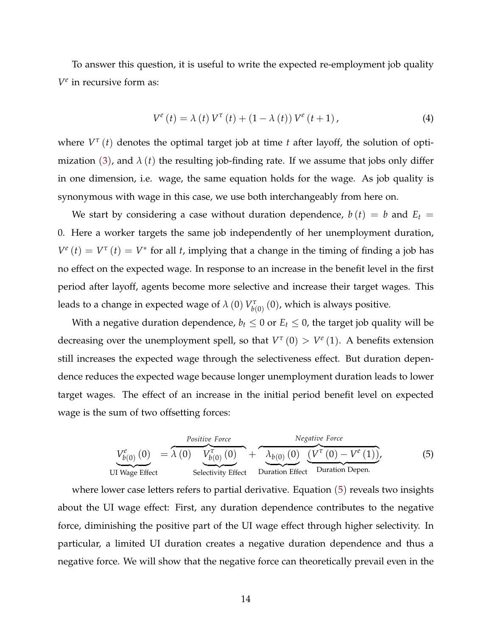To answer this question, it is useful to write the expected re-employment job quality *V e* in recursive form as:

$$
V^{e}(t) = \lambda(t) V^{\tau}(t) + (1 - \lambda(t)) V^{e}(t+1), \qquad (4)
$$

where *V τ* (*t*) denotes the optimal target job at time *t* after layoff, the solution of optimization  $(3)$  $(3)$  $(3)$ , and  $\lambda(t)$  the resulting job-finding rate. If we assume that jobs only differ in one dimension, i.e. wage, the same equation holds for the wage. As job quality is synonymous with wage in this case, we use both interchangeably from here on.

We start by considering a case without duration dependence,  $b(t) = b$  and  $E_t =$ 0. Here a worker targets the same job independently of her unemployment duration,  $V^e(t) = V^{\tau}(t) = V^*$  for all *t*, implying that a change in the timing of finding a job has no effect on the expected wage. In response to an increase in the benefit level in the first period after layoff, agents become more selective and increase their target wages. This leads to a change in expected wage of  $\lambda$  (0)  $V^\tau_{b(0)}$  (0), which is always positive.

With a negative duration dependence,  $b_t \leq 0$  or  $E_t \leq 0$ , the target job quality will be decreasing over the unemployment spell, so that  $V^{\tau}(0) > V^e(1)$ . A benefits extension still increases the expected wage through the selectiveness effect. But duration dependence reduces the expected wage because longer unemployment duration leads to lower target wages. The effect of an increase in the initial period benefit level on expected wage is the sum of two offsetting forces:

<span id="page-15-0"></span>
$$
V_{b(0)}^{e}(0) = \lambda (0) V_{b(0)}^{\tau} (0) + \lambda_{b(0)} (0) V_{b(0)}^{\tau} (0) + \lambda_{b(0)} (0) (V^{\tau} (0) - V^{e} (1)),
$$
\n(5)  
\nUI Wage Effect  
\nSelectric  
\nEffect  
\nDuration Effect  
\nDuration Depen.

where lower case letters refers to partial derivative. Equation ([5](#page-15-0)) reveals two insights about the UI wage effect: First, any duration dependence contributes to the negative force, diminishing the positive part of the UI wage effect through higher selectivity. In particular, a limited UI duration creates a negative duration dependence and thus a negative force. We will show that the negative force can theoretically prevail even in the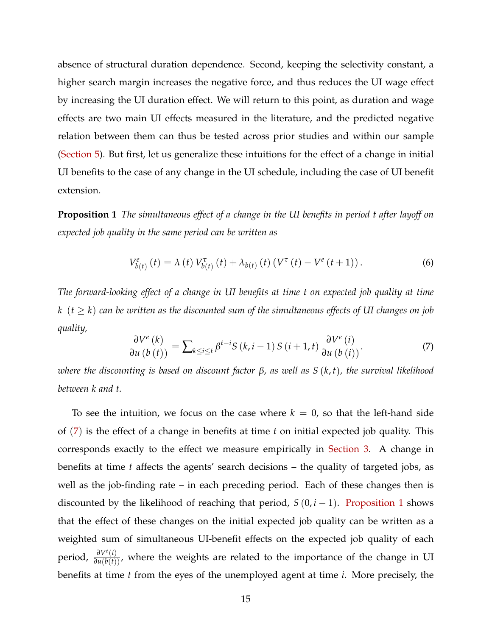absence of structural duration dependence. Second, keeping the selectivity constant, a higher search margin increases the negative force, and thus reduces the UI wage effect by increasing the UI duration effect. We will return to this point, as duration and wage effects are two main UI effects measured in the literature, and the predicted negative relation between them can thus be tested across prior studies and within our sample [\(Section 5\)](#page-24-0). But first, let us generalize these intuitions for the effect of a change in initial UI benefits to the case of any change in the UI schedule, including the case of UI benefit extension.

<span id="page-16-1"></span>**Proposition 1** *The simultaneous effect of a change in the UI benefits in period t after layoff on expected job quality in the same period can be written as*

$$
V_{b(t)}^{e}(t) = \lambda(t) V_{b(t)}^{\tau}(t) + \lambda_{b(t)}(t) (V^{\tau}(t) - V^{e}(t+1)).
$$
 (6)

*The forward-looking effect of a change in UI benefits at time t on expected job quality at time k*  $(t \geq k)$  *can be written as the discounted sum of the simultaneous effects of UI changes on job quality,*

<span id="page-16-0"></span>
$$
\frac{\partial V^{e}(k)}{\partial u\left(b\left(t\right)\right)} = \sum_{k \leq i \leq t} \beta^{t-i} S\left(k, i-1\right) S\left(i+1, t\right) \frac{\partial V^{e}\left(i\right)}{\partial u\left(b\left(i\right)\right)}.\tag{7}
$$

*where the discounting is based on discount factor β, as well as S* (*k*, *t*)*, the survival likelihood between k and t.*

To see the intuition, we focus on the case where  $k = 0$ , so that the left-hand side of ([7](#page-16-0)) is the effect of a change in benefits at time *t* on initial expected job quality. This corresponds exactly to the effect we measure empirically in [Section 3.](#page-12-0) A change in benefits at time *t* affects the agents' search decisions – the quality of targeted jobs, as well as the job-finding rate – in each preceding period. Each of these changes then is discounted by the likelihood of reaching that period,  $S(0, i - 1)$ . [Proposition 1](#page-16-1) shows that the effect of these changes on the initial expected job quality can be written as a weighted sum of simultaneous UI-benefit effects on the expected job quality of each period,  $\frac{\partial V^{e}(i)}{\partial u(b(t))}$ , where the weights are related to the importance of the change in UI benefits at time *t* from the eyes of the unemployed agent at time *i*. More precisely, the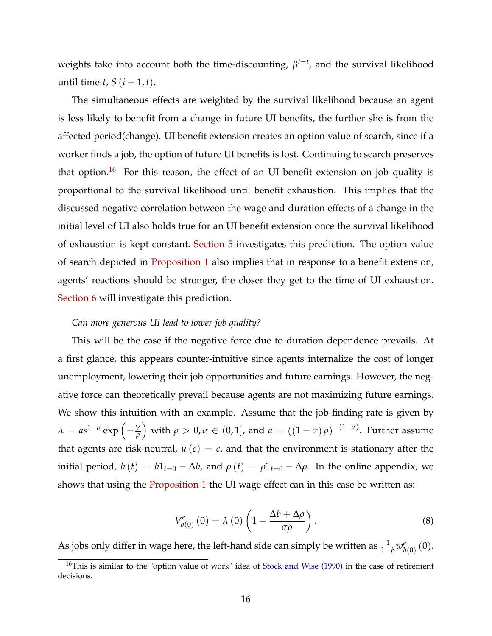<span id="page-17-2"></span>weights take into account both the time-discounting, *β t*−*i* , and the survival likelihood until time *t*,  $S(i+1, t)$ .

The simultaneous effects are weighted by the survival likelihood because an agent is less likely to benefit from a change in future UI benefits, the further she is from the affected period(change). UI benefit extension creates an option value of search, since if a worker finds a job, the option of future UI benefits is lost. Continuing to search preserves that option.<sup>[16](#page-17-0)</sup> For this reason, the effect of an UI benefit extension on job quality is proportional to the survival likelihood until benefit exhaustion. This implies that the discussed negative correlation between the wage and duration effects of a change in the initial level of UI also holds true for an UI benefit extension once the survival likelihood of exhaustion is kept constant. [Section 5](#page-24-0) investigates this prediction. The option value of search depicted in [Proposition 1](#page-16-1) also implies that in response to a benefit extension, agents' reactions should be stronger, the closer they get to the time of UI exhaustion. [Section 6](#page-27-0) will investigate this prediction.

#### *Can more generous UI lead to lower job quality?*

This will be the case if the negative force due to duration dependence prevails. At a first glance, this appears counter-intuitive since agents internalize the cost of longer unemployment, lowering their job opportunities and future earnings. However, the negative force can theoretically prevail because agents are not maximizing future earnings. We show this intuition with an example. Assume that the job-finding rate is given by *λ* =  $as^{1-\sigma}$  exp  $\left(-\frac{V}{\rho}\right)$  $\int$  with  $\rho > 0, \sigma \in (0, 1]$ , and  $a = ((1 - \sigma)\rho)^{-(1 - \sigma)}$ . Further assume that agents are risk-neutral,  $u(c) = c$ , and that the environment is stationary after the initial period, *b*(*t*) = *b*1*t*=0 − Δ*b*, and  $ρ(t) = ρ1$ <sub>*t*=0</sub> − Δ*ρ*. In the online appendix, we shows that using the **[Proposition 1](#page-16-1)** the UI wage effect can in this case be written as:

<span id="page-17-1"></span>
$$
V_{b(0)}^{e}(0) = \lambda(0) \left(1 - \frac{\Delta b + \Delta \rho}{\sigma \rho}\right).
$$
 (8)

As jobs only differ in wage here, the left-hand side can simply be written as  $\frac{1}{1-\beta}w^e_b$  $_{b\left( 0\right) }^{e}\left( 0\right) .$ 

<span id="page-17-0"></span><sup>&</sup>lt;sup>16</sup>This is similar to the "option value of work" idea of [Stock and Wise](#page-32-1) [\(1990\)](#page-32-1) in the case of retirement decisions.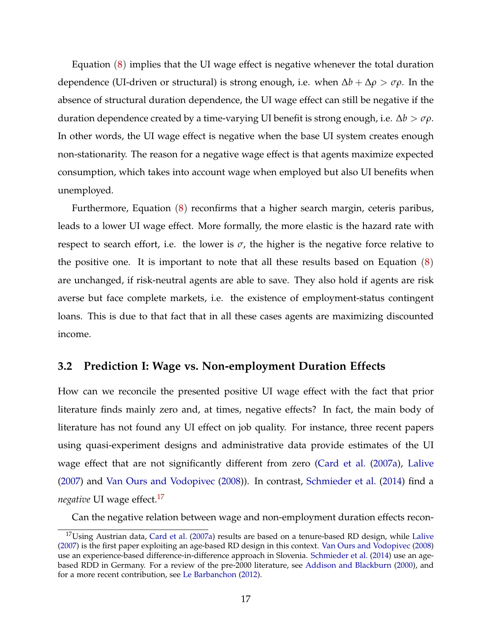<span id="page-18-2"></span>Equation  $(8)$  $(8)$  $(8)$  implies that the UI wage effect is negative whenever the total duration dependence (UI-driven or structural) is strong enough, i.e. when ∆*b* + ∆*ρ* > *σρ*. In the absence of structural duration dependence, the UI wage effect can still be negative if the duration dependence created by a time-varying UI benefit is strong enough, i.e. ∆*b* > *σρ*. In other words, the UI wage effect is negative when the base UI system creates enough non-stationarity. The reason for a negative wage effect is that agents maximize expected consumption, which takes into account wage when employed but also UI benefits when unemployed.

Furthermore, Equation  $(8)$  $(8)$  $(8)$  reconfirms that a higher search margin, ceteris paribus, leads to a lower UI wage effect. More formally, the more elastic is the hazard rate with respect to search effort, i.e. the lower is  $\sigma$ , the higher is the negative force relative to the positive one. It is important to note that all these results based on Equation ([8](#page-17-1)) are unchanged, if risk-neutral agents are able to save. They also hold if agents are risk averse but face complete markets, i.e. the existence of employment-status contingent loans. This is due to that fact that in all these cases agents are maximizing discounted income.

#### <span id="page-18-0"></span>**3.2 Prediction I: Wage vs. Non-employment Duration Effects**

How can we reconcile the presented positive UI wage effect with the fact that prior literature finds mainly zero and, at times, negative effects? In fact, the main body of literature has not found any UI effect on job quality. For instance, three recent papers using quasi-experiment designs and administrative data provide estimates of the UI wage effect that are not significantly different from zero [\(Card et al.](#page-29-3) [\(2007a\)](#page-29-3), [Lalive](#page-30-1) [\(2007\)](#page-30-1) and [Van Ours and Vodopivec](#page-32-0) [\(2008\)](#page-32-0)). In contrast, [Schmieder et al.](#page-31-0) [\(2014\)](#page-31-0) find a *negative* UI wage effect.<sup>[17](#page-18-1)</sup>

Can the negative relation between wage and non-employment duration effects recon-

<span id="page-18-1"></span> $17$ Using Austrian data, [Card et al.](#page-29-3) [\(2007a\)](#page-29-3) results are based on a tenure-based RD design, while [Lalive](#page-30-1) [\(2007\)](#page-30-1) is the first paper exploiting an age-based RD design in this context. [Van Ours and Vodopivec](#page-32-0) [\(2008\)](#page-32-0) use an experience-based difference-in-difference approach in Slovenia. [Schmieder et al.](#page-31-0) [\(2014\)](#page-31-0) use an agebased RDD in Germany. For a review of the pre-2000 literature, see [Addison and Blackburn](#page-28-1) [\(2000\)](#page-28-1), and for a more recent contribution, see [Le Barbanchon](#page-30-8) [\(2012\)](#page-30-8).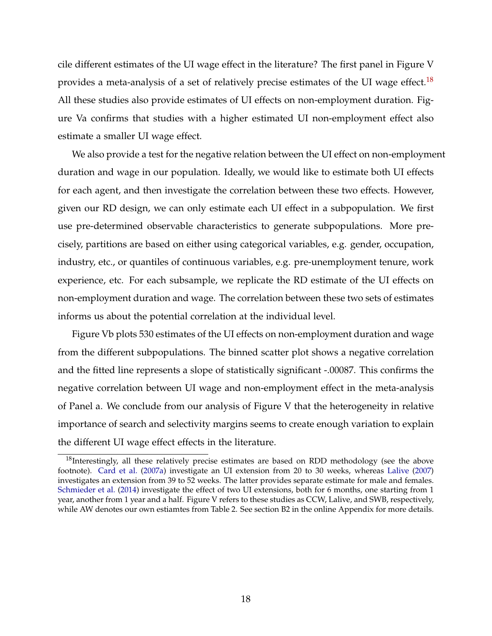<span id="page-19-2"></span>cile different estimates of the UI wage effect in the literature? The first panel in Figure V provides a meta-analysis of a set of relatively precise estimates of the UI wage effect.<sup>[18](#page-19-1)</sup> All these studies also provide estimates of UI effects on non-employment duration. Figure Va confirms that studies with a higher estimated UI non-employment effect also estimate a smaller UI wage effect.

We also provide a test for the negative relation between the UI effect on non-employment duration and wage in our population. Ideally, we would like to estimate both UI effects for each agent, and then investigate the correlation between these two effects. However, given our RD design, we can only estimate each UI effect in a subpopulation. We first use pre-determined observable characteristics to generate subpopulations. More precisely, partitions are based on either using categorical variables, e.g. gender, occupation, industry, etc., or quantiles of continuous variables, e.g. pre-unemployment tenure, work experience, etc. For each subsample, we replicate the RD estimate of the UI effects on non-employment duration and wage. The correlation between these two sets of estimates informs us about the potential correlation at the individual level.

Figure Vb plots 530 estimates of the UI effects on non-employment duration and wage from the different subpopulations. The binned scatter plot shows a negative correlation and the fitted line represents a slope of statistically significant -.00087. This confirms the negative correlation between UI wage and non-employment effect in the meta-analysis of Panel a. We conclude from our analysis of Figure V that the heterogeneity in relative importance of search and selectivity margins seems to create enough variation to explain the different UI wage effect effects in the literature.

<span id="page-19-1"></span><span id="page-19-0"></span> $18$ Interestingly, all these relatively precise estimates are based on RDD methodology (see the above footnote). [Card et al.](#page-29-3) [\(2007a\)](#page-29-3) investigate an UI extension from 20 to 30 weeks, whereas [Lalive](#page-30-1) [\(2007\)](#page-30-1) investigates an extension from 39 to 52 weeks. The latter provides separate estimate for male and females. [Schmieder et al.](#page-31-0) [\(2014\)](#page-31-0) investigate the effect of two UI extensions, both for 6 months, one starting from 1 year, another from 1 year and a half. Figure V refers to these studies as CCW, Lalive, and SWB, respectively, while AW denotes our own estiamtes from Table 2. See section B2 in the online Appendix for more details.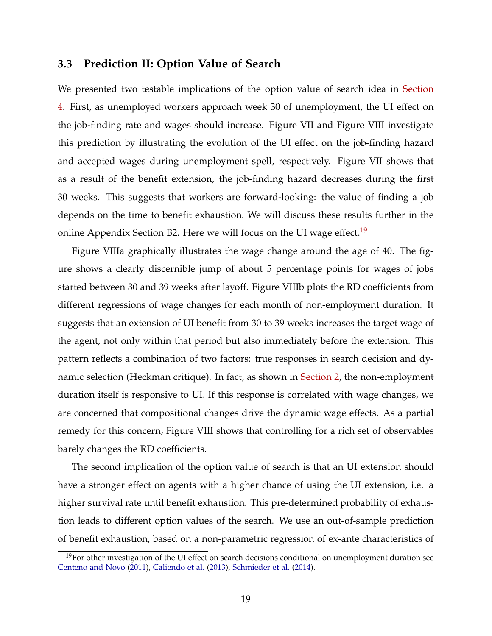#### <span id="page-20-1"></span>**3.3 Prediction II: Option Value of Search**

We presented two testable implications of the option value of search idea in [Section](#page-21-0) [4.](#page-21-0) First, as unemployed workers approach week 30 of unemployment, the UI effect on the job-finding rate and wages should increase. Figure VII and Figure VIII investigate this prediction by illustrating the evolution of the UI effect on the job-finding hazard and accepted wages during unemployment spell, respectively. Figure VII shows that as a result of the benefit extension, the job-finding hazard decreases during the first 30 weeks. This suggests that workers are forward-looking: the value of finding a job depends on the time to benefit exhaustion. We will discuss these results further in the online Appendix Section B2. Here we will focus on the UI wage effect.<sup>[19](#page-20-0)</sup>

Figure VIIIa graphically illustrates the wage change around the age of 40. The figure shows a clearly discernible jump of about 5 percentage points for wages of jobs started between 30 and 39 weeks after layoff. Figure VIIIb plots the RD coefficients from different regressions of wage changes for each month of non-employment duration. It suggests that an extension of UI benefit from 30 to 39 weeks increases the target wage of the agent, not only within that period but also immediately before the extension. This pattern reflects a combination of two factors: true responses in search decision and dynamic selection (Heckman critique). In fact, as shown in [Section 2,](#page-10-0) the non-employment duration itself is responsive to UI. If this response is correlated with wage changes, we are concerned that compositional changes drive the dynamic wage effects. As a partial remedy for this concern, Figure VIII shows that controlling for a rich set of observables barely changes the RD coefficients.

The second implication of the option value of search is that an UI extension should have a stronger effect on agents with a higher chance of using the UI extension, i.e. a higher survival rate until benefit exhaustion. This pre-determined probability of exhaustion leads to different option values of the search. We use an out-of-sample prediction of benefit exhaustion, based on a non-parametric regression of ex-ante characteristics of

<span id="page-20-0"></span><sup>&</sup>lt;sup>19</sup>For other investigation of the UI effect on search decisions conditional on unemployment duration see [Centeno and Novo](#page-29-9) [\(2011\)](#page-29-9), [Caliendo et al.](#page-28-8) [\(2013\)](#page-28-8), [Schmieder et al.](#page-31-0) [\(2014\)](#page-31-0).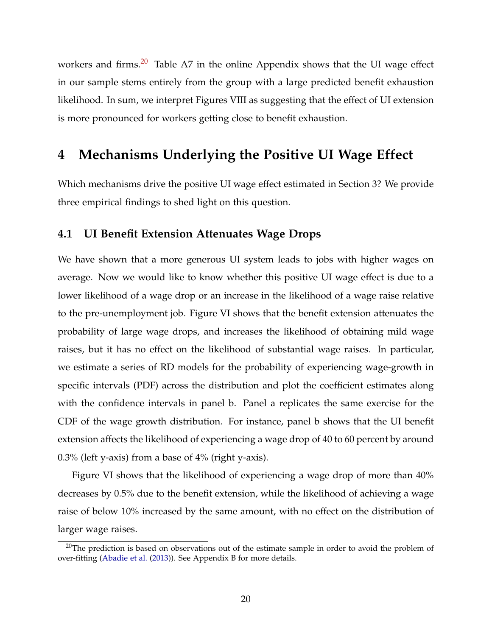<span id="page-21-2"></span>workers and firms. $20$  Table A7 in the online Appendix shows that the UI wage effect in our sample stems entirely from the group with a large predicted benefit exhaustion likelihood. In sum, we interpret Figures VIII as suggesting that the effect of UI extension is more pronounced for workers getting close to benefit exhaustion.

### <span id="page-21-0"></span>**4 Mechanisms Underlying the Positive UI Wage Effect**

Which mechanisms drive the positive UI wage effect estimated in Section 3? We provide three empirical findings to shed light on this question.

#### **4.1 UI Benefit Extension Attenuates Wage Drops**

We have shown that a more generous UI system leads to jobs with higher wages on average. Now we would like to know whether this positive UI wage effect is due to a lower likelihood of a wage drop or an increase in the likelihood of a wage raise relative to the pre-unemployment job. Figure VI shows that the benefit extension attenuates the probability of large wage drops, and increases the likelihood of obtaining mild wage raises, but it has no effect on the likelihood of substantial wage raises. In particular, we estimate a series of RD models for the probability of experiencing wage-growth in specific intervals (PDF) across the distribution and plot the coefficient estimates along with the confidence intervals in panel b. Panel a replicates the same exercise for the CDF of the wage growth distribution. For instance, panel b shows that the UI benefit extension affects the likelihood of experiencing a wage drop of 40 to 60 percent by around 0.3% (left y-axis) from a base of 4% (right y-axis).

Figure VI shows that the likelihood of experiencing a wage drop of more than 40% decreases by 0.5% due to the benefit extension, while the likelihood of achieving a wage raise of below 10% increased by the same amount, with no effect on the distribution of larger wage raises.

<span id="page-21-1"></span> $20$ The prediction is based on observations out of the estimate sample in order to avoid the problem of over-fitting [\(Abadie et al.](#page-28-9) [\(2013\)](#page-28-9)). See Appendix B for more details.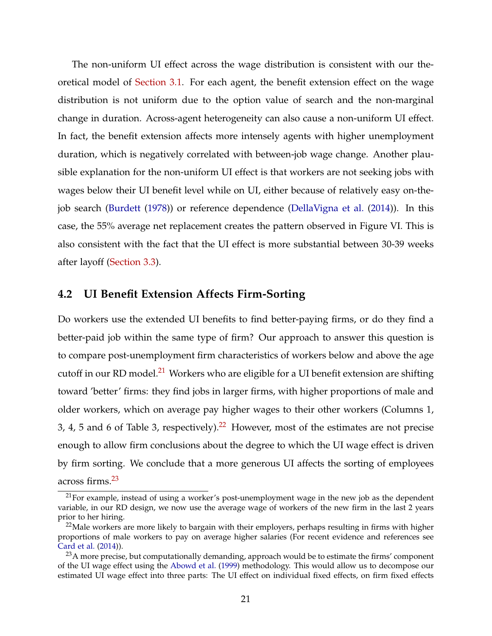<span id="page-22-4"></span>The non-uniform UI effect across the wage distribution is consistent with our theoretical model of [Section 3.1.](#page-13-0) For each agent, the benefit extension effect on the wage distribution is not uniform due to the option value of search and the non-marginal change in duration. Across-agent heterogeneity can also cause a non-uniform UI effect. In fact, the benefit extension affects more intensely agents with higher unemployment duration, which is negatively correlated with between-job wage change. Another plausible explanation for the non-uniform UI effect is that workers are not seeking jobs with wages below their UI benefit level while on UI, either because of relatively easy on-thejob search [\(Burdett](#page-28-3) [\(1978\)](#page-28-3)) or reference dependence [\(DellaVigna et al.](#page-29-10) [\(2014\)](#page-29-10)). In this case, the 55% average net replacement creates the pattern observed in Figure VI. This is also consistent with the fact that the UI effect is more substantial between 30-39 weeks after layoff [\(Section 3.3\)](#page-19-0).

#### <span id="page-22-3"></span>**4.2 UI Benefit Extension Affects Firm-Sorting**

Do workers use the extended UI benefits to find better-paying firms, or do they find a better-paid job within the same type of firm? Our approach to answer this question is to compare post-unemployment firm characteristics of workers below and above the age cutoff in our RD model.<sup>[21](#page-22-0)</sup> Workers who are eligible for a UI benefit extension are shifting toward 'better' firms: they find jobs in larger firms, with higher proportions of male and older workers, which on average pay higher wages to their other workers (Columns 1, 3, 4, 5 and 6 of Table 3, respectively).<sup>[22](#page-22-1)</sup> However, most of the estimates are not precise enough to allow firm conclusions about the degree to which the UI wage effect is driven by firm sorting. We conclude that a more generous UI affects the sorting of employees across firms.[23](#page-22-2)

<span id="page-22-0"></span> $21$ For example, instead of using a worker's post-unemployment wage in the new job as the dependent variable, in our RD design, we now use the average wage of workers of the new firm in the last 2 years prior to her hiring.

<span id="page-22-1"></span> $22$ Male workers are more likely to bargain with their employers, perhaps resulting in firms with higher proportions of male workers to pay on average higher salaries (For recent evidence and references see [Card et al.](#page-29-11) [\(2014\)](#page-29-11)).

<span id="page-22-2"></span> $^{23}$ A more precise, but computationally demanding, approach would be to estimate the firms' component of the UI wage effect using the [Abowd et al.](#page-28-10) [\(1999\)](#page-28-10) methodology. This would allow us to decompose our estimated UI wage effect into three parts: The UI effect on individual fixed effects, on firm fixed effects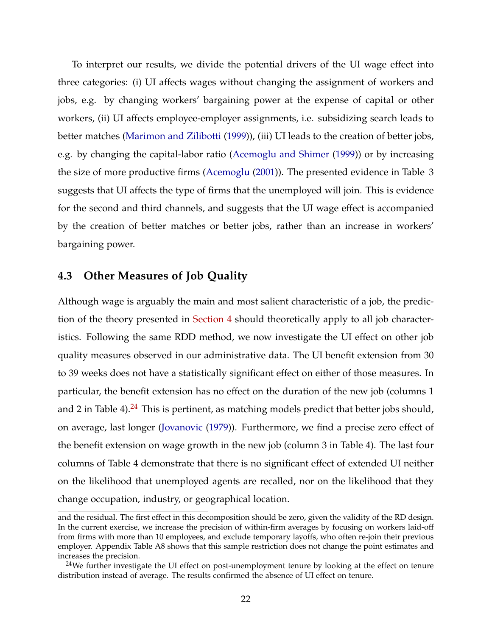<span id="page-23-1"></span>To interpret our results, we divide the potential drivers of the UI wage effect into three categories: (i) UI affects wages without changing the assignment of workers and jobs, e.g. by changing workers' bargaining power at the expense of capital or other workers, (ii) UI affects employee-employer assignments, i.e. subsidizing search leads to better matches [\(Marimon and Zilibotti](#page-31-12) [\(1999\)](#page-31-12)), (iii) UI leads to the creation of better jobs, e.g. by changing the capital-labor ratio [\(Acemoglu and Shimer](#page-28-11) [\(1999\)](#page-28-11)) or by increasing the size of more productive firms [\(Acemoglu](#page-28-12) [\(2001\)](#page-28-12)). The presented evidence in Table 3 suggests that UI affects the type of firms that the unemployed will join. This is evidence for the second and third channels, and suggests that the UI wage effect is accompanied by the creation of better matches or better jobs, rather than an increase in workers' bargaining power.

#### **4.3 Other Measures of Job Quality**

Although wage is arguably the main and most salient characteristic of a job, the prediction of the theory presented in [Section 4](#page-21-0) should theoretically apply to all job characteristics. Following the same RDD method, we now investigate the UI effect on other job quality measures observed in our administrative data. The UI benefit extension from 30 to 39 weeks does not have a statistically significant effect on either of those measures. In particular, the benefit extension has no effect on the duration of the new job (columns 1 and 2 in Table 4). $^{24}$  $^{24}$  $^{24}$  This is pertinent, as matching models predict that better jobs should, on average, last longer [\(Jovanovic](#page-30-9) [\(1979\)](#page-30-9)). Furthermore, we find a precise zero effect of the benefit extension on wage growth in the new job (column 3 in Table 4). The last four columns of Table 4 demonstrate that there is no significant effect of extended UI neither on the likelihood that unemployed agents are recalled, nor on the likelihood that they change occupation, industry, or geographical location.

and the residual. The first effect in this decomposition should be zero, given the validity of the RD design. In the current exercise, we increase the precision of within-firm averages by focusing on workers laid-off from firms with more than 10 employees, and exclude temporary layoffs, who often re-join their previous employer. Appendix Table A8 shows that this sample restriction does not change the point estimates and increases the precision.

<span id="page-23-0"></span> $24$ We further investigate the UI effect on post-unemployment tenure by looking at the effect on tenure distribution instead of average. The results confirmed the absence of UI effect on tenure.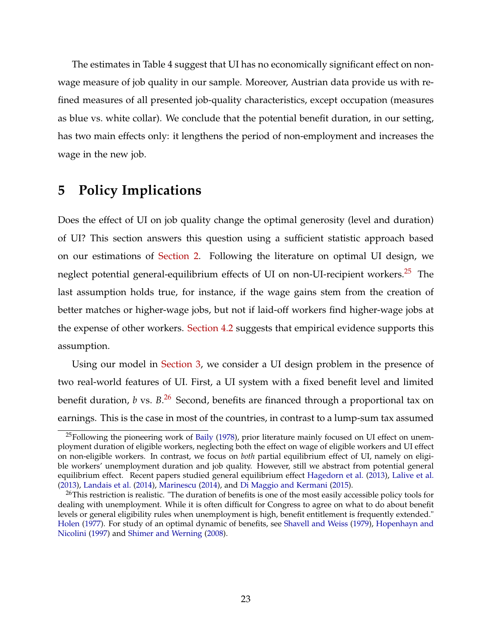<span id="page-24-3"></span>The estimates in Table 4 suggest that UI has no economically significant effect on nonwage measure of job quality in our sample. Moreover, Austrian data provide us with refined measures of all presented job-quality characteristics, except occupation (measures as blue vs. white collar). We conclude that the potential benefit duration, in our setting, has two main effects only: it lengthens the period of non-employment and increases the wage in the new job.

### <span id="page-24-0"></span>**5 Policy Implications**

Does the effect of UI on job quality change the optimal generosity (level and duration) of UI? This section answers this question using a sufficient statistic approach based on our estimations of [Section 2.](#page-10-0) Following the literature on optimal UI design, we neglect potential general-equilibrium effects of UI on non-UI-recipient workers.<sup>[25](#page-24-1)</sup> The last assumption holds true, for instance, if the wage gains stem from the creation of better matches or higher-wage jobs, but not if laid-off workers find higher-wage jobs at the expense of other workers. [Section 4.2](#page-22-3) suggests that empirical evidence supports this assumption.

Using our model in [Section 3,](#page-12-0) we consider a UI design problem in the presence of two real-world features of UI. First, a UI system with a fixed benefit level and limited benefit duration, *b* vs. *B*. [26](#page-24-2) Second, benefits are financed through a proportional tax on earnings. This is the case in most of the countries, in contrast to a lump-sum tax assumed

<span id="page-24-1"></span><sup>&</sup>lt;sup>25</sup>Following the pioneering work of [Baily](#page-28-4) [\(1978\)](#page-28-4), prior literature mainly focused on UI effect on unemployment duration of eligible workers, neglecting both the effect on wage of eligible workers and UI effect on non-eligible workers. In contrast, we focus on *both* partial equilibrium effect of UI, namely on eligible workers' unemployment duration and job quality. However, still we abstract from potential general equilibrium effect. Recent papers studied general equilibrium effect [Hagedorn et al.](#page-30-10) [\(2013\)](#page-30-10), [Lalive et al.](#page-30-11) [\(2013\)](#page-30-11), [Landais et al.](#page-30-12) [\(2014\)](#page-30-12), [Marinescu](#page-31-13) [\(2014\)](#page-31-13), and [Di Maggio and Kermani](#page-29-12) [\(2015\)](#page-29-12).

<span id="page-24-2"></span> $^{26}$ This restriction is realistic. "The duration of benefits is one of the most easily accessible policy tools for dealing with unemployment. While it is often difficult for Congress to agree on what to do about benefit levels or general eligibility rules when unemployment is high, benefit entitlement is frequently extended." [Holen](#page-30-0) [\(1977\)](#page-30-0). For study of an optimal dynamic of benefits, see [Shavell and Weiss](#page-31-14) [\(1979\)](#page-31-14), [Hopenhayn and](#page-30-13) [Nicolini](#page-30-13) [\(1997\)](#page-30-13) and [Shimer and Werning](#page-31-15) [\(2008\)](#page-31-15).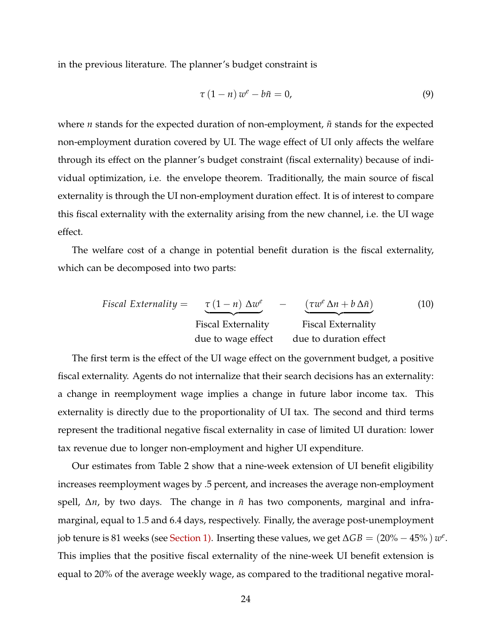in the previous literature. The planner's budget constraint is

$$
\tau (1 - n) w^e - b\tilde{n} = 0,
$$
\n(9)

where  $n$  stands for the expected duration of non-employment,  $\tilde{n}$  stands for the expected non-employment duration covered by UI. The wage effect of UI only affects the welfare through its effect on the planner's budget constraint (fiscal externality) because of individual optimization, i.e. the envelope theorem. Traditionally, the main source of fiscal externality is through the UI non-employment duration effect. It is of interest to compare this fiscal externality with the externality arising from the new channel, i.e. the UI wage effect.

The welfare cost of a change in potential benefit duration is the fiscal externality, which can be decomposed into two parts:

$$
Fiscal Externality = \underbrace{\tau (1 - n) \Delta w^e}_{\text{Fiscal Externality}} - \underbrace{(\tau w^e \Delta n + b \Delta \tilde{n})}_{\text{Fiscal Externality}}
$$
(10)  
due to wage effect due to duration effect

The first term is the effect of the UI wage effect on the government budget, a positive fiscal externality. Agents do not internalize that their search decisions has an externality: a change in reemployment wage implies a change in future labor income tax. This externality is directly due to the proportionality of UI tax. The second and third terms represent the traditional negative fiscal externality in case of limited UI duration: lower tax revenue due to longer non-employment and higher UI expenditure.

Our estimates from Table 2 show that a nine-week extension of UI benefit eligibility increases reemployment wages by .5 percent, and increases the average non-employment spell, Δ*n*, by two days. The change in  $\tilde{n}$  has two components, marginal and inframarginal, equal to 1.5 and 6.4 days, respectively. Finally, the average post-unemployment job tenure is 81 weeks (see [Section 1\).](#page-6-1) Inserting these values, we get  $\Delta GB = (20\% - 45\%) w^e$ . This implies that the positive fiscal externality of the nine-week UI benefit extension is equal to 20% of the average weekly wage, as compared to the traditional negative moral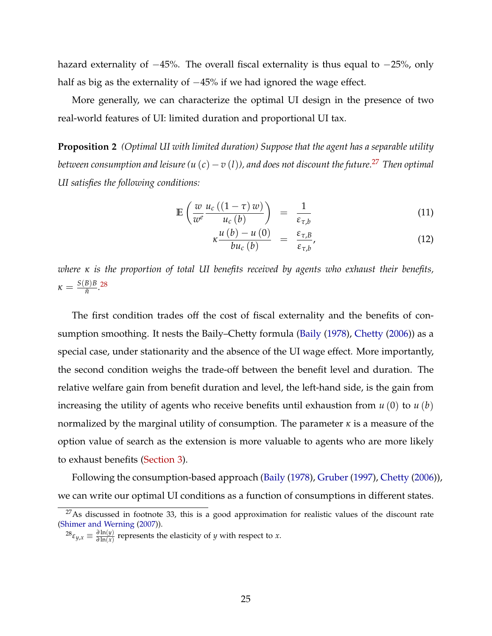<span id="page-26-2"></span>hazard externality of −45%. The overall fiscal externality is thus equal to −25%, only half as big as the externality of −45% if we had ignored the wage effect.

More generally, we can characterize the optimal UI design in the presence of two real-world features of UI: limited duration and proportional UI tax.

**Proposition 2** *(Optimal UI with limited duration) Suppose that the agent has a separable utility between consumption and leisure*  $(u(c) - v(l))$ , and does not discount the future.<sup>[27](#page-26-0)</sup> Then optimal *UI satisfies the following conditions:*

$$
\mathbb{E}\left(\frac{w}{w^e}\frac{u_c\left(\left(1-\tau\right)w\right)}{u_c\left(b\right)}\right) = \frac{1}{\varepsilon_{\tau,b}}\tag{11}
$$

$$
\kappa \frac{u\left(b\right) - u\left(0\right)}{bu_{c}\left(b\right)} = \frac{\varepsilon_{\tau,B}}{\varepsilon_{\tau,b}},\tag{12}
$$

*where κ is the proportion of total UI benefits received by agents who exhaust their benefits,*  $\kappa = \frac{S(B)B}{\tilde{n}}$  $\frac{B}{\tilde{n}}$ .<sup>[28](#page-26-1)</sup>

The first condition trades off the cost of fiscal externality and the benefits of consumption smoothing. It nests the Baily–Chetty formula [\(Baily](#page-28-4) [\(1978\)](#page-28-4), [Chetty](#page-29-13) [\(2006\)](#page-29-13)) as a special case, under stationarity and the absence of the UI wage effect. More importantly, the second condition weighs the trade-off between the benefit level and duration. The relative welfare gain from benefit duration and level, the left-hand side, is the gain from increasing the utility of agents who receive benefits until exhaustion from *u* (0) to *u* (*b*) normalized by the marginal utility of consumption. The parameter *κ* is a measure of the option value of search as the extension is more valuable to agents who are more likely to exhaust benefits [\(Section 3\)](#page-12-0).

Following the consumption-based approach [\(Baily](#page-28-4) [\(1978\)](#page-28-4), [Gruber](#page-29-14) [\(1997\)](#page-29-14), [Chetty](#page-29-13) [\(2006\)](#page-29-13)), we can write our optimal UI conditions as a function of consumptions in different states.

<span id="page-26-0"></span> $27$ As discussed in footnote 33, this is a good approximation for realistic values of the discount rate [\(Shimer and Werning](#page-31-16) [\(2007\)](#page-31-16)).

<span id="page-26-1"></span> $28\varepsilon_{y,x} \equiv \frac{\partial \ln(y)}{\partial \ln(x)}$  $\frac{\partial \ln(y)}{\partial \ln(x)}$  represents the elasticity of *y* with respect to *x*.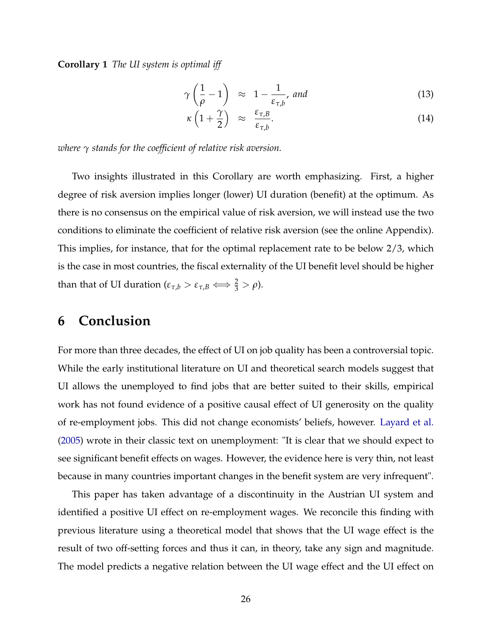<span id="page-27-1"></span>**Corollary 1** *The UI system is optimal iff*

$$
\gamma\left(\frac{1}{\rho}-1\right) \approx 1 - \frac{1}{\varepsilon_{\tau,b}}, \text{ and } \tag{13}
$$

<span id="page-27-0"></span>
$$
\kappa \left( 1 + \frac{\gamma}{2} \right) \quad \approx \quad \frac{\varepsilon_{\tau,B}}{\varepsilon_{\tau,b}}.\tag{14}
$$

*where γ stands for the coefficient of relative risk aversion.*

Two insights illustrated in this Corollary are worth emphasizing. First, a higher degree of risk aversion implies longer (lower) UI duration (benefit) at the optimum. As there is no consensus on the empirical value of risk aversion, we will instead use the two conditions to eliminate the coefficient of relative risk aversion (see the online Appendix). This implies, for instance, that for the optimal replacement rate to be below 2/3, which is the case in most countries, the fiscal externality of the UI benefit level should be higher than that of UI duration ( $\varepsilon_{\tau,b} > \varepsilon_{\tau,B} \Longleftrightarrow \frac{2}{3} > \rho$ ).

## **6 Conclusion**

For more than three decades, the effect of UI on job quality has been a controversial topic. While the early institutional literature on UI and theoretical search models suggest that UI allows the unemployed to find jobs that are better suited to their skills, empirical work has not found evidence of a positive causal effect of UI generosity on the quality of re-employment jobs. This did not change economists' beliefs, however. [Layard et al.](#page-30-14) [\(2005\)](#page-30-14) wrote in their classic text on unemployment: "It is clear that we should expect to see significant benefit effects on wages. However, the evidence here is very thin, not least because in many countries important changes in the benefit system are very infrequent".

This paper has taken advantage of a discontinuity in the Austrian UI system and identified a positive UI effect on re-employment wages. We reconcile this finding with previous literature using a theoretical model that shows that the UI wage effect is the result of two off-setting forces and thus it can, in theory, take any sign and magnitude. The model predicts a negative relation between the UI wage effect and the UI effect on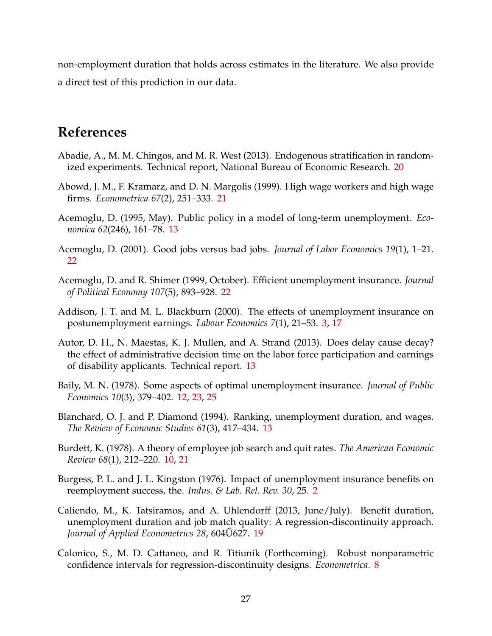non-employment duration that holds across estimates in the literature. We also provide a direct test of this prediction in our data.

# **References**

- <span id="page-28-9"></span>Abadie, A., M. M. Chingos, and M. R. West (2013). Endogenous stratification in randomized experiments. Technical report, National Bureau of Economic Research. [20](#page-21-2)
- <span id="page-28-10"></span>Abowd, J. M., F. Kramarz, and D. N. Margolis (1999). High wage workers and high wage firms. *Econometrica 67*(2), 251–333. [21](#page-22-4)
- <span id="page-28-5"></span>Acemoglu, D. (1995, May). Public policy in a model of long-term unemployment. *Economica 62*(246), 161–78. [13](#page-14-3)
- <span id="page-28-12"></span>Acemoglu, D. (2001). Good jobs versus bad jobs. *Journal of Labor Economics 19*(1), 1–21. [22](#page-23-1)
- <span id="page-28-11"></span>Acemoglu, D. and R. Shimer (1999, October). Efficient unemployment insurance. *Journal of Political Economy 107*(5), 893–928. [22](#page-23-1)
- <span id="page-28-1"></span>Addison, J. T. and M. L. Blackburn (2000). The effects of unemployment insurance on postunemployment earnings. *Labour Economics 7*(1), 21–53. [3,](#page-4-2) [17](#page-18-2)
- <span id="page-28-7"></span>Autor, D. H., N. Maestas, K. J. Mullen, and A. Strand (2013). Does delay cause decay? the effect of administrative decision time on the labor force participation and earnings of disability applicants. Technical report. [13](#page-14-3)
- <span id="page-28-4"></span>Baily, M. N. (1978). Some aspects of optimal unemployment insurance. *Journal of Public Economics 10*(3), 379–402. [12,](#page-13-3) [23,](#page-24-3) [25](#page-26-2)
- <span id="page-28-6"></span>Blanchard, O. J. and P. Diamond (1994). Ranking, unemployment duration, and wages. *The Review of Economic Studies 61*(3), 417–434. [13](#page-14-3)
- <span id="page-28-3"></span>Burdett, K. (1978). A theory of employee job search and quit rates. *The American Economic Review 68*(1), 212–220. [10,](#page-11-0) [21](#page-22-4)
- <span id="page-28-0"></span>Burgess, P. L. and J. L. Kingston (1976). Impact of unemployment insurance benefits on reemployment success, the. *Indus. & Lab. Rel. Rev. 30*, 25. [2](#page-3-1)
- <span id="page-28-8"></span>Caliendo, M., K. Tatsiramos, and A. Uhlendorff (2013, June/July). Benefit duration, unemployment duration and job match quality: A regression-discontinuity approach. *Journal of Applied Econometrics 28, 604U627. [19](#page-20-1)*
- <span id="page-28-2"></span>Calonico, S., M. D. Cattaneo, and R. Titiunik (Forthcoming). Robust nonparametric confidence intervals for regression-discontinuity designs. *Econometrica*. [8](#page-9-1)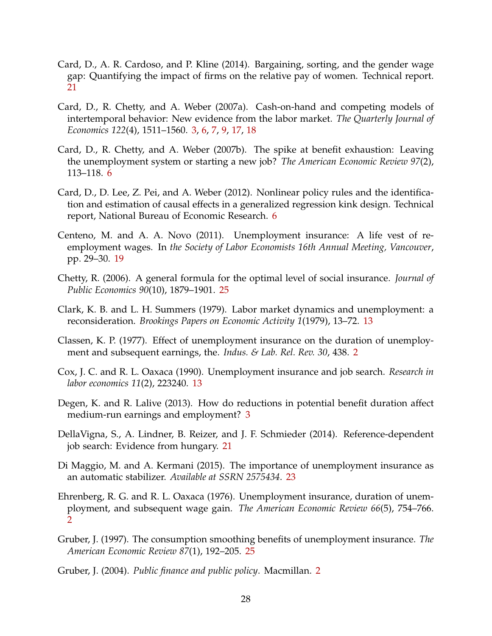- <span id="page-29-11"></span>Card, D., A. R. Cardoso, and P. Kline (2014). Bargaining, sorting, and the gender wage gap: Quantifying the impact of firms on the relative pay of women. Technical report. [21](#page-22-4)
- <span id="page-29-3"></span>Card, D., R. Chetty, and A. Weber (2007a). Cash-on-hand and competing models of intertemporal behavior: New evidence from the labor market. *The Quarterly Journal of Economics 122*(4), 1511–1560. [3,](#page-4-2) [6,](#page-7-3) [7,](#page-8-0) [9,](#page-10-2) [17,](#page-18-2) [18](#page-19-2)
- <span id="page-29-5"></span>Card, D., R. Chetty, and A. Weber (2007b). The spike at benefit exhaustion: Leaving the unemployment system or starting a new job? *The American Economic Review 97*(2), 113–118. [6](#page-7-3)
- <span id="page-29-6"></span>Card, D., D. Lee, Z. Pei, and A. Weber (2012). Nonlinear policy rules and the identification and estimation of causal effects in a generalized regression kink design. Technical report, National Bureau of Economic Research. [6](#page-7-3)
- <span id="page-29-9"></span>Centeno, M. and A. A. Novo (2011). Unemployment insurance: A life vest of reemployment wages. In *the Society of Labor Economists 16th Annual Meeting, Vancouver*, pp. 29–30. [19](#page-20-1)
- <span id="page-29-13"></span>Chetty, R. (2006). A general formula for the optimal level of social insurance. *Journal of Public Economics 90*(10), 1879–1901. [25](#page-26-2)
- <span id="page-29-8"></span>Clark, K. B. and L. H. Summers (1979). Labor market dynamics and unemployment: a reconsideration. *Brookings Papers on Economic Activity 1*(1979), 13–72. [13](#page-14-3)
- <span id="page-29-1"></span>Classen, K. P. (1977). Effect of unemployment insurance on the duration of unemployment and subsequent earnings, the. *Indus. & Lab. Rel. Rev. 30*, 438. [2](#page-3-1)
- <span id="page-29-7"></span>Cox, J. C. and R. L. Oaxaca (1990). Unemployment insurance and job search. *Research in labor economics 11*(2), 223240. [13](#page-14-3)
- <span id="page-29-4"></span>Degen, K. and R. Lalive (2013). How do reductions in potential benefit duration affect medium-run earnings and employment? [3](#page-4-2)
- <span id="page-29-10"></span>DellaVigna, S., A. Lindner, B. Reizer, and J. F. Schmieder (2014). Reference-dependent job search: Evidence from hungary. [21](#page-22-4)
- <span id="page-29-12"></span>Di Maggio, M. and A. Kermani (2015). The importance of unemployment insurance as an automatic stabilizer. *Available at SSRN 2575434*. [23](#page-24-3)
- <span id="page-29-2"></span>Ehrenberg, R. G. and R. L. Oaxaca (1976). Unemployment insurance, duration of unemployment, and subsequent wage gain. *The American Economic Review 66*(5), 754–766. [2](#page-3-1)
- <span id="page-29-14"></span>Gruber, J. (1997). The consumption smoothing benefits of unemployment insurance. *The American Economic Review 87*(1), 192–205. [25](#page-26-2)

<span id="page-29-0"></span>Gruber, J. (2004). *Public finance and public policy*. Macmillan. [2](#page-3-1)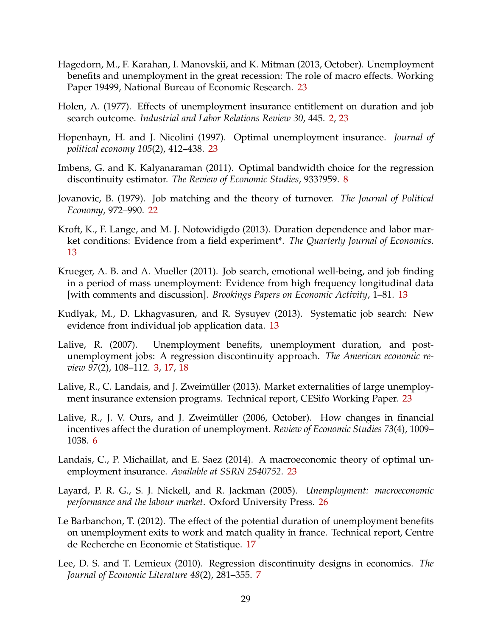- <span id="page-30-10"></span>Hagedorn, M., F. Karahan, I. Manovskii, and K. Mitman (2013, October). Unemployment benefits and unemployment in the great recession: The role of macro effects. Working Paper 19499, National Bureau of Economic Research. [23](#page-24-3)
- <span id="page-30-0"></span>Holen, A. (1977). Effects of unemployment insurance entitlement on duration and job search outcome. *Industrial and Labor Relations Review 30*, 445. [2,](#page-3-1) [23](#page-24-3)
- <span id="page-30-13"></span>Hopenhayn, H. and J. Nicolini (1997). Optimal unemployment insurance. *Journal of political economy 105*(2), 412–438. [23](#page-24-3)
- <span id="page-30-4"></span>Imbens, G. and K. Kalyanaraman (2011). Optimal bandwidth choice for the regression discontinuity estimator. *The Review of Economic Studies*, 933?959. [8](#page-9-1)
- <span id="page-30-9"></span>Jovanovic, B. (1979). Job matching and the theory of turnover. *The Journal of Political Economy*, 972–990. [22](#page-23-1)
- <span id="page-30-6"></span>Kroft, K., F. Lange, and M. J. Notowidigdo (2013). Duration dependence and labor market conditions: Evidence from a field experiment\*. *The Quarterly Journal of Economics*. [13](#page-14-3)
- <span id="page-30-5"></span>Krueger, A. B. and A. Mueller (2011). Job search, emotional well-being, and job finding in a period of mass unemployment: Evidence from high frequency longitudinal data [with comments and discussion]. *Brookings Papers on Economic Activity*, 1–81. [13](#page-14-3)
- <span id="page-30-7"></span>Kudlyak, M., D. Lkhagvasuren, and R. Sysuyev (2013). Systematic job search: New evidence from individual job application data. [13](#page-14-3)
- <span id="page-30-1"></span>Lalive, R. (2007). Unemployment benefits, unemployment duration, and postunemployment jobs: A regression discontinuity approach. *The American economic review 97*(2), 108–112. [3,](#page-4-2) [17,](#page-18-2) [18](#page-19-2)
- <span id="page-30-11"></span>Lalive, R., C. Landais, and J. Zweimüller (2013). Market externalities of large unemployment insurance extension programs. Technical report, CESifo Working Paper. [23](#page-24-3)
- <span id="page-30-2"></span>Lalive, R., J. V. Ours, and J. Zweimüller (2006, October). How changes in financial incentives affect the duration of unemployment. *Review of Economic Studies 73*(4), 1009– 1038. [6](#page-7-3)
- <span id="page-30-12"></span>Landais, C., P. Michaillat, and E. Saez (2014). A macroeconomic theory of optimal unemployment insurance. *Available at SSRN 2540752*. [23](#page-24-3)
- <span id="page-30-14"></span>Layard, P. R. G., S. J. Nickell, and R. Jackman (2005). *Unemployment: macroeconomic performance and the labour market*. Oxford University Press. [26](#page-27-1)
- <span id="page-30-8"></span>Le Barbanchon, T. (2012). The effect of the potential duration of unemployment benefits on unemployment exits to work and match quality in france. Technical report, Centre de Recherche en Economie et Statistique. [17](#page-18-2)
- <span id="page-30-3"></span>Lee, D. S. and T. Lemieux (2010). Regression discontinuity designs in economics. *The Journal of Economic Literature 48*(2), 281–355. [7](#page-8-0)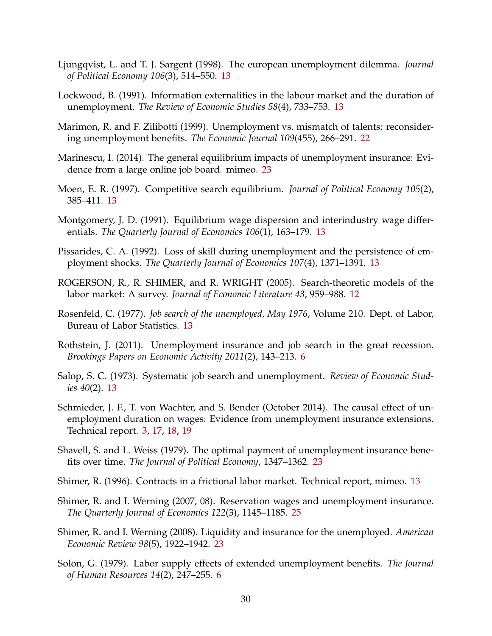- <span id="page-31-10"></span>Ljungqvist, L. and T. J. Sargent (1998). The european unemployment dilemma. *Journal of Political Economy 106*(3), 514–550. [13](#page-14-3)
- <span id="page-31-11"></span>Lockwood, B. (1991). Information externalities in the labour market and the duration of unemployment. *The Review of Economic Studies 58*(4), 733–753. [13](#page-14-3)
- <span id="page-31-12"></span>Marimon, R. and F. Zilibotti (1999). Unemployment vs. mismatch of talents: reconsidering unemployment benefits. *The Economic Journal 109*(455), 266–291. [22](#page-23-1)
- <span id="page-31-13"></span>Marinescu, I. (2014). The general equilibrium impacts of unemployment insurance: Evidence from a large online job board. mimeo. [23](#page-24-3)
- <span id="page-31-5"></span>Moen, E. R. (1997). Competitive search equilibrium. *Journal of Political Economy 105*(2), 385–411. [13](#page-14-3)
- <span id="page-31-4"></span>Montgomery, J. D. (1991). Equilibrium wage dispersion and interindustry wage differentials. *The Quarterly Journal of Economics 106*(1), 163–179. [13](#page-14-3)
- <span id="page-31-9"></span>Pissarides, C. A. (1992). Loss of skill during unemployment and the persistence of employment shocks. *The Quarterly Journal of Economics 107*(4), 1371–1391. [13](#page-14-3)
- <span id="page-31-3"></span>ROGERSON, R., R. SHIMER, and R. WRIGHT (2005). Search-theoretic models of the labor market: A survey. *Journal of Economic Literature 43*, 959–988. [12](#page-13-3)
- <span id="page-31-8"></span>Rosenfeld, C. (1977). *Job search of the unemployed, May 1976*, Volume 210. Dept. of Labor, Bureau of Labor Statistics. [13](#page-14-3)
- <span id="page-31-2"></span>Rothstein, J. (2011). Unemployment insurance and job search in the great recession. *Brookings Papers on Economic Activity 2011*(2), 143–213. [6](#page-7-3)
- <span id="page-31-7"></span>Salop, S. C. (1973). Systematic job search and unemployment. *Review of Economic Studies 40*(2). [13](#page-14-3)
- <span id="page-31-0"></span>Schmieder, J. F., T. von Wachter, and S. Bender (October 2014). The causal effect of unemployment duration on wages: Evidence from unemployment insurance extensions. Technical report. [3,](#page-4-2) [17,](#page-18-2) [18,](#page-19-2) [19](#page-20-1)
- <span id="page-31-14"></span>Shavell, S. and L. Weiss (1979). The optimal payment of unemployment insurance benefits over time. *The Journal of Political Economy*, 1347–1362. [23](#page-24-3)
- <span id="page-31-6"></span>Shimer, R. (1996). Contracts in a frictional labor market. Technical report, mimeo. [13](#page-14-3)
- <span id="page-31-16"></span>Shimer, R. and I. Werning (2007, 08). Reservation wages and unemployment insurance. *The Quarterly Journal of Economics 122*(3), 1145–1185. [25](#page-26-2)
- <span id="page-31-15"></span>Shimer, R. and I. Werning (2008). Liquidity and insurance for the unemployed. *American Economic Review 98*(5), 1922–1942. [23](#page-24-3)
- <span id="page-31-1"></span>Solon, G. (1979). Labor supply effects of extended unemployment benefits. *The Journal of Human Resources 14*(2), 247–255. [6](#page-7-3)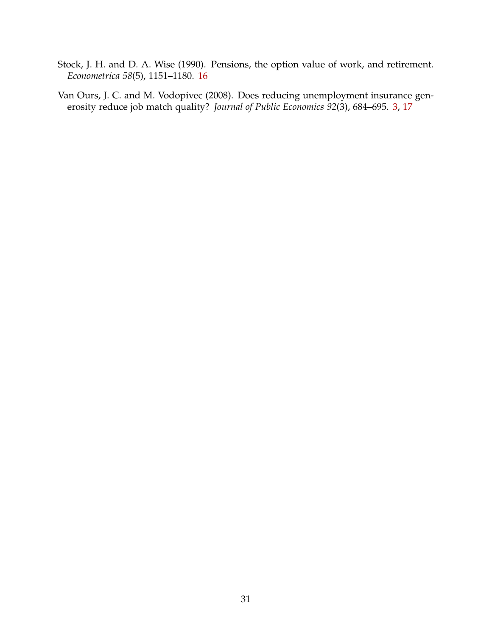- <span id="page-32-1"></span>Stock, J. H. and D. A. Wise (1990). Pensions, the option value of work, and retirement. *Econometrica 58*(5), 1151–1180. [16](#page-17-2)
- <span id="page-32-0"></span>Van Ours, J. C. and M. Vodopivec (2008). Does reducing unemployment insurance generosity reduce job match quality? *Journal of Public Economics 92*(3), 684–695. [3,](#page-4-2) [17](#page-18-2)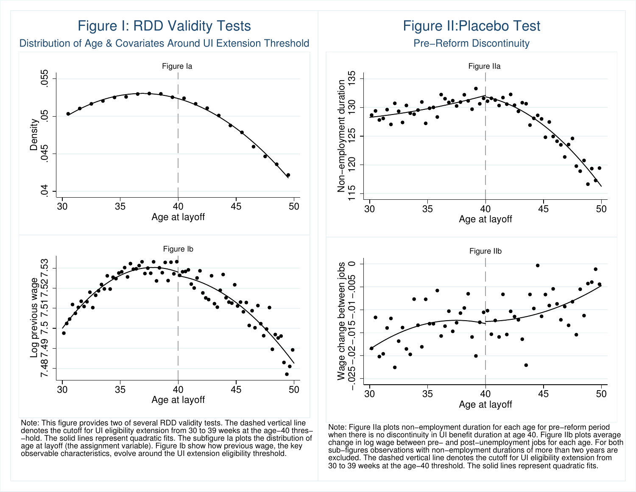

Note: This figure provides two of several RDD validity tests. The dashed vertical line denotes the cutoff for UI eligibility extension from 30 to 39 weeks at the age−40 thres− −hold. The solid lines represent quadratic fits. The subfigure Ia plots the distribution ofage at layoff (the assignment variable). Figure Ib show how previous wage, the keyobservable characteristics, evolve around the UI extension eligibility threshold.

# Figure II:Placebo Test

Pre−Reform Discontinuity



Note: Figure IIa plots non−employment duration for each age for pre−reform period when there is no discontinuity in UI benefit duration at age 40. Figure IIb plots averagechange in log wage between pre– and post–unemployment jobs for each age. For both<br>sub–figures observations with non–employment durations of more than two years are<br>excluded. The dashed vertical line denotes the cutoff for 30 to 39 weeks at the age−40 threshold. The solid lines represent quadratic fits.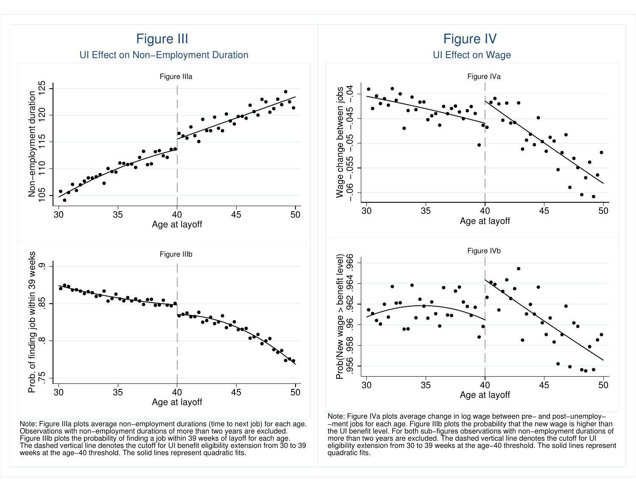

Note: Figure IIIa plots average non−employment durations (time to next job) for each age. Observations with non−employment durations of more than two years are excluded. Figure IIIb plots the probability of finding a job within 39 weeks of layoff for each age. The dashed vertical line denotes the cutoff for UI benefit eligibility extension from 30 to 39weeks at the age−40 threshold. The solid lines represent quadratic fits.

 −ment jobs for each age. Figure IIIb plots the probability that the new wage is higher than the UI benefit level. For both sub−figures observations with non−employment durations of more than two years are excluded. The dashed vertical line denotes the cutoff for UI eligibility extension from 30 to 39 weeks at the age−40 threshold. The solid lines representquadratic fits.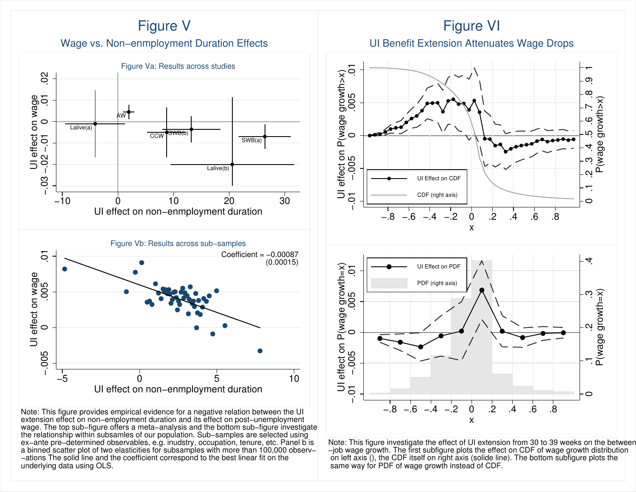

Note: This figure provides empirical evidence for a negative relation between the UIextension effect on non–employment duration and its effect on post–unemployment<br>wage. The top sub–figure offers a meta–analysis and the bottom sub–figure investigate<br>the relationship within subsamles of our population. Sub ex–ante pre–determined observables, e.g. inudstry, occupation, tenure, etc. Panel b is<br>a binned scatter plot of two elasticities for subsamples with more than 100,000 observ–<br>–ations The solid line and the coefficient corr underlying data using OLS.







Note: This figure investigate the effect of UI extension from 30 to 39 weeks on the between−job wage growth. The first subfigure plots the effect on CDF of wage growth distribution on left axis (), the CDF itself on right axis (solide line). The bottom subfigure plots thesame way for PDF of wage growth instead of CDF.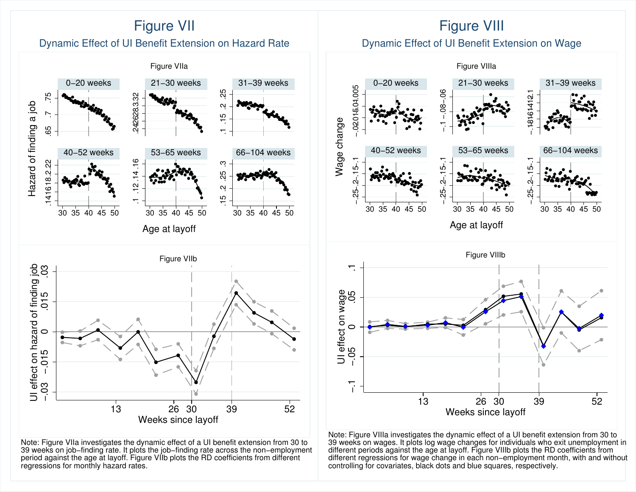

Note: Figure VIIa investigates the dynamic effect of a UI benefit extension from 30 to<br>39 weeks on job–finding rate. It plots the job–finding rate across the non–employment<br>period against the age at layoff. Figure VIIb plo regressions for monthly hazard rates.

# Note: Figure VIIIa investigates the dynamic effect of a UI benefit extension from 30 to<br>39 weeks on wages. It plots log wage changes for individuals who exit unemployment in<br>different periods against the age at layoff. Fig controlling for covariates, black dots and blue squares, respectively.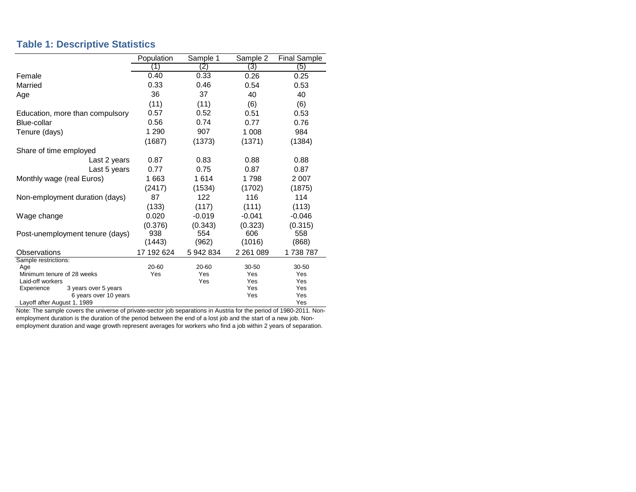#### **Table 1: Descriptive Statistics**

|                                    | Population | Sample 1     | Sample 2      | <b>Final Sample</b> |
|------------------------------------|------------|--------------|---------------|---------------------|
|                                    | (1)        | (2)          | (3)           | (5)                 |
| Female                             | 0.40       | 0.33         | 0.26          | 0.25                |
| Married                            | 0.33       | 0.46         | 0.54          | 0.53                |
| Age                                | 36         | 37           | 40            | 40                  |
|                                    | (11)       | (11)         | (6)           | (6)                 |
| Education, more than compulsory    | 0.57       | 0.52         | 0.51          | 0.53                |
| Blue-collar                        | 0.56       | 0.74         | 0.77          | 0.76                |
| Tenure (days)                      | 1 2 9 0    | 907          | 1 0 0 8       | 984                 |
|                                    | (1687)     | (1373)       | (1371)        | (1384)              |
| Share of time employed             |            |              |               |                     |
| Last 2 years                       | 0.87       | 0.83         | 0.88          | 0.88                |
| Last 5 years                       | 0.77       | 0.75         | 0.87          | 0.87                |
| Monthly wage (real Euros)          | 1663       | 1614<br>1798 |               | 2 0 0 7             |
|                                    | (2417)     | (1534)       | (1702)        | (1875)              |
| Non-employment duration (days)     | 87         | 122          | 116           | 114                 |
|                                    | (133)      | (117)        | (111)         | (113)               |
| Wage change                        | 0.020      | $-0.019$     | $-0.041$      | $-0.046$            |
|                                    | (0.376)    | (0.343)      | (0.323)       | (0.315)             |
| Post-unemployment tenure (days)    | 938        | 554          | 606           | 558                 |
|                                    | (1443)     | (962)        | (1016)        | (868)               |
| Observations                       | 17 192 624 | 5 942 834    | 2 2 6 1 0 8 9 | 1738787             |
| Sample restrictions:               |            |              |               |                     |
| Age                                | 20-60      | 20-60        | 30-50         | $30 - 50$           |
| Minimum tenure of 28 weeks         | Yes        | Yes          |               | Yes                 |
| Laid-off workers                   |            | Yes          | Yes           | Yes                 |
| Experience<br>3 years over 5 years |            |              | Yes           | Yes                 |
| 6 years over 10 years              |            |              | Yes           | Yes                 |
| Layoff after August 1, 1989        |            |              |               | Yes                 |

Note: The sample covers the universe of private-sector job separations in Austria for the period of 1980-2011. Nonemployment duration is the duration of the period between the end of a lost job and the start of a new job. Nonemployment duration and wage growth represent averages for workers who find a job within 2 years of separation.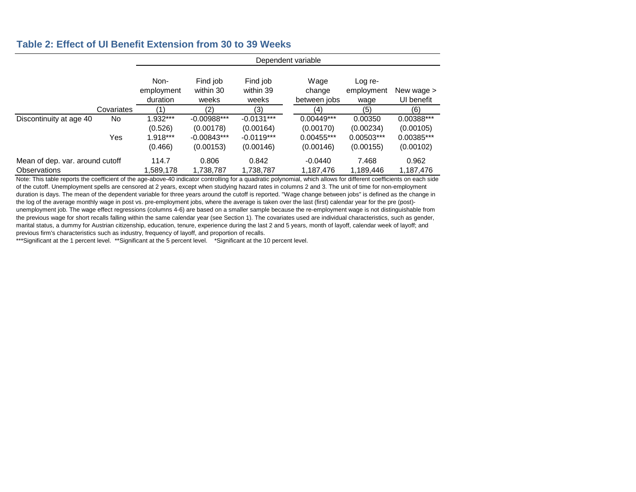#### **Table 2: Effect of UI Benefit Extension from 30 to 39 Weeks**

|                                 |            | Dependent variable             |                                |                                |                                |                               |                          |  |  |
|---------------------------------|------------|--------------------------------|--------------------------------|--------------------------------|--------------------------------|-------------------------------|--------------------------|--|--|
|                                 |            | Non-<br>employment<br>duration | Find job<br>within 30<br>weeks | Find job<br>within 39<br>weeks | Wage<br>change<br>between jobs | Log re-<br>employment<br>wage | New wage ><br>UI benefit |  |  |
|                                 | Covariates | (1)                            | (2)                            | (3)                            | (4)                            | (5)                           | (6)                      |  |  |
| Discontinuity at age 40         | No.        | 1.932***                       | $-0.00988***$                  | $-0.0131***$                   | $0.00449***$                   | 0.00350                       | 0.00388***               |  |  |
|                                 |            | (0.526)                        | (0.00178)                      | (0.00164)                      | (0.00170)                      | (0.00234)                     | (0.00105)                |  |  |
|                                 | Yes        | 1.918***                       | $-0.00843***$                  | $-0.0119***$                   | $0.00455***$                   | 0.00503***                    | 0.00385***               |  |  |
|                                 |            | (0.466)                        | (0.00153)                      | (0.00146)                      | (0.00146)                      | (0.00155)                     | (0.00102)                |  |  |
| Mean of dep. var. around cutoff |            | 114.7                          | 0.806                          | 0.842                          | $-0.0440$                      | 7.468                         | 0.962                    |  |  |
| <b>Observations</b>             |            | 1,589,178                      | 1,738,787                      | 1,738,787                      | 1,187,476                      | 1,189,446                     | 1,187,476                |  |  |

Note: This table reports the coefficient of the age-above-40 indicator controlling for a quadratic polynomial, which allows for different coefficients on each side of the cutoff. Unemployment spells are censored at 2 years, except when studying hazard rates in columns 2 and 3. The unit of time for non-employment duration is days. The mean of the dependent variable for three years around the cutoff is reported. "Wage change between jobs" is defined as the change in the log of the average monthly wage in post vs. pre-employment jobs, where the average is taken over the last (first) calendar year for the pre (post) unemployment job. The wage effect regressions (columns 4-6) are based on a smaller sample because the re-employment wage is not distinguishable from the previous wage for short recalls falling within the same calendar year (see Section 1). The covariates used are individual characteristics, such as gender, marital status, a dummy for Austrian citizenship, education, tenure, experience during the last 2 and 5 years, month of layoff, calendar week of layoff; and previous firm's characteristics such as industry, frequency of layoff, and proportion of recalls.

\*\*\*Significant at the 1 percent level. \*\*Significant at the 5 percent level. \*Significant at the 10 percent level.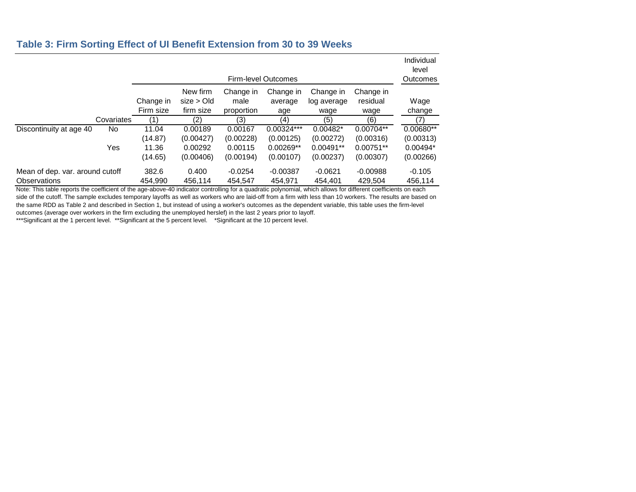#### **Table 3: Firm Sorting Effect of UI Benefit Extension from 30 to 39 Weeks**

|                                                        |            | Firm-level Outcomes                  |                                              |                                              |                                                       |                                                     |                                                      | Individual<br>level<br>Outcomes                   |
|--------------------------------------------------------|------------|--------------------------------------|----------------------------------------------|----------------------------------------------|-------------------------------------------------------|-----------------------------------------------------|------------------------------------------------------|---------------------------------------------------|
|                                                        |            | Change in<br>Firm size               | New firm<br>size > Old<br>firm size          | Change in<br>male<br>proportion              | Change in<br>average<br>age                           | Change in<br>log average<br>wage                    | Change in<br>residual<br>wage                        | Wage<br>change                                    |
|                                                        | Covariates | (1)                                  | (2)                                          | (3)                                          | (4)                                                   | (5)                                                 | (6)                                                  | (7)                                               |
| Discontinuity at age 40                                | No<br>Yes  | 11.04<br>(14.87)<br>11.36<br>(14.65) | 0.00189<br>(0.00427)<br>0.00292<br>(0.00406) | 0.00167<br>(0.00228)<br>0.00115<br>(0.00194) | $0.00324***$<br>(0.00125)<br>$0.00269**$<br>(0.00107) | $0.00482*$<br>(0.00272)<br>$0.00491**$<br>(0.00237) | $0.00704**$<br>(0.00316)<br>$0.00751**$<br>(0.00307) | 0.00680**<br>(0.00313)<br>$0.00494*$<br>(0.00266) |
| Mean of dep. var. around cutoff<br><b>Observations</b> |            | 382.6<br>454.990                     | 0.400<br>456.114                             | $-0.0254$<br>454.547                         | $-0.00387$<br>454.971                                 | $-0.0621$<br>454.401                                | $-0.00988$<br>429.504                                | $-0.105$<br>456,114                               |

Note: This table reports the coefficient of the age-above-40 indicator controlling for a quadratic polynomial, which allows for different coefficients on each side of the cutoff. The sample excludes temporary layoffs as well as workers who are laid-off from a firm with less than 10 workers. The results are based on the same RDD as Table 2 and described in Section 1, but instead of using a worker's outcomes as the dependent variable, this table uses the firm-level outcomes (average over workers in the firm excluding the unemployed herslef) in the last 2 years prior to layoff.

\*\*\*Significant at the 1 percent level. \*\*Significant at the 5 percent level. \*Significant at the 10 percent level.